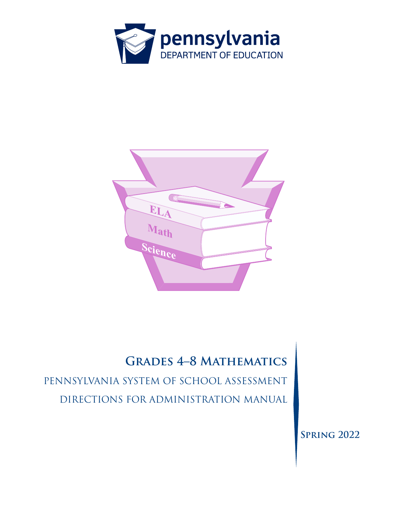



## **Grades 4–8 Mathematics**

PENNSYLVANIA SYSTEM OF SCHOOL ASSESSMENT DIRECTIONS FOR ADMINISTRATION MANUAL

**Spring 2022**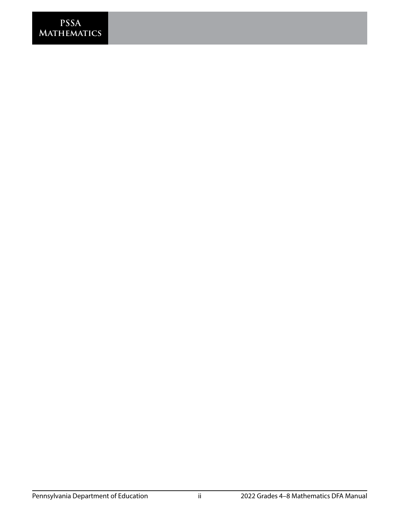## **PSSA Mathematics**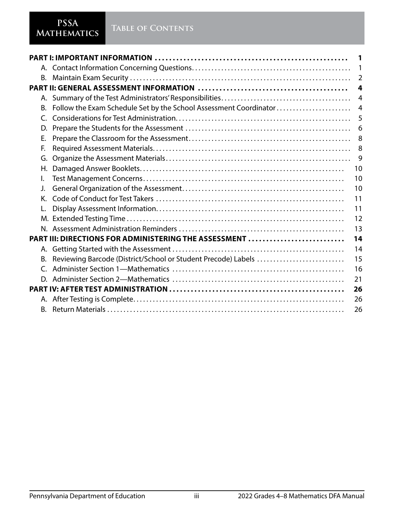## **MATHEMATICS** TABLE OF CONTENTS

**PSSA**

|    |                                                                   | 1              |
|----|-------------------------------------------------------------------|----------------|
|    |                                                                   | $\overline{2}$ |
|    |                                                                   | 4              |
|    |                                                                   | $\overline{4}$ |
| В. | Follow the Exam Schedule Set by the School Assessment Coordinator | $\overline{4}$ |
|    |                                                                   | 5              |
| D. |                                                                   | 6              |
| Е. |                                                                   | 8              |
| F. |                                                                   | 8              |
| G. |                                                                   | 9              |
| Н. |                                                                   | 10             |
|    |                                                                   | 10             |
|    |                                                                   | 10             |
| Κ. |                                                                   | 11             |
|    |                                                                   | 11             |
|    |                                                                   | 12             |
|    |                                                                   | 13             |
|    | PART III: DIRECTIONS FOR ADMINISTERING THE ASSESSMENT             | 14             |
|    |                                                                   | 14             |
| В. | Reviewing Barcode (District/School or Student Precode) Labels     | 15             |
|    |                                                                   | 16             |
| D. |                                                                   | 21             |
|    |                                                                   | 26             |
|    |                                                                   | 26             |
| B. |                                                                   | 26             |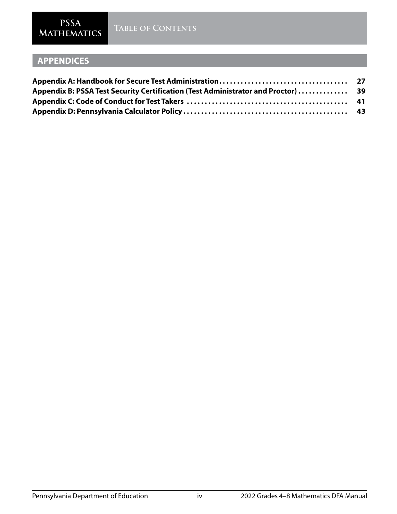## **APPENDICES**

| Appendix B: PSSA Test Security Certification (Test Administrator and Proctor)  39 |  |
|-----------------------------------------------------------------------------------|--|
|                                                                                   |  |
|                                                                                   |  |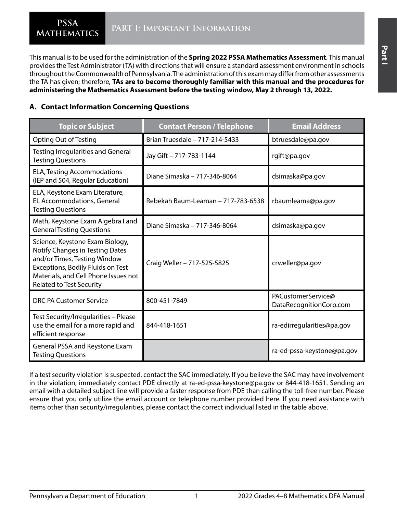This manual is to be used for the administration of the **Spring 2022 PSSA Mathematics Assessment**. This manual provides the Test Administrator (TA) with directions that will ensure a standard assessment environment in schools throughout the Commonwealth of Pennsylvania. The administration of this exam may differ from other assessments the TA has given; therefore, **TAs are to become thoroughly familiar with this manual and the procedures for administering the Mathematics Assessment before the testing window, May 2 through 13, 2022 .**

## **A. Contact Information Concerning Questions**

<span id="page-4-0"></span>**PSSA Mathematics**

| <b>Topic or Subject</b>                                                                                                                                                                                            | <b>Contact Person / Telephone</b>  | <b>Email Address</b>                          |
|--------------------------------------------------------------------------------------------------------------------------------------------------------------------------------------------------------------------|------------------------------------|-----------------------------------------------|
| <b>Opting Out of Testing</b>                                                                                                                                                                                       | Brian Truesdale - 717-214-5433     | btruesdale@pa.gov                             |
| <b>Testing Irregularities and General</b><br><b>Testing Questions</b>                                                                                                                                              | Jay Gift - 717-783-1144            | rgift@pa.gov                                  |
| <b>ELA, Testing Accommodations</b><br>(IEP and 504, Regular Education)                                                                                                                                             | Diane Simaska - 717-346-8064       | dsimaska@pa.gov                               |
| ELA, Keystone Exam Literature,<br>EL Accommodations, General<br><b>Testing Questions</b>                                                                                                                           | Rebekah Baum-Leaman - 717-783-6538 | rbaumleama@pa.gov                             |
| Math, Keystone Exam Algebra I and<br><b>General Testing Questions</b>                                                                                                                                              | Diane Simaska - 717-346-8064       | dsimaska@pa.gov                               |
| Science, Keystone Exam Biology,<br>Notify Changes in Testing Dates<br>and/or Times, Testing Window<br>Exceptions, Bodily Fluids on Test<br>Materials, and Cell Phone Issues not<br><b>Related to Test Security</b> | Craig Weller - 717-525-5825        | crweller@pa.gov                               |
| <b>DRC PA Customer Service</b>                                                                                                                                                                                     | 800-451-7849                       | PACustomerService@<br>DataRecognitionCorp.com |
| Test Security/Irregularities - Please<br>use the email for a more rapid and<br>efficient response                                                                                                                  | 844-418-1651                       | ra-edirregularities@pa.gov                    |
| General PSSA and Keystone Exam<br><b>Testing Questions</b>                                                                                                                                                         |                                    | ra-ed-pssa-keystone@pa.gov                    |

If a test security violation is suspected, contact the SAC immediately. If you believe the SAC may have involvement in the violation, immediately contact PDE directly at [ra-ed-pssa-keystone@pa.gov](mailto:ra-ed-pssa-keystone%40pa.gov?subject=) or 844-418-1651. Sending an email with a detailed subject line will provide a faster response from PDE than calling the toll-free number. Please ensure that you only utilize the email account or telephone number provided here. If you need assistance with items other than security/irregularities, please contact the correct individual listed in the table above.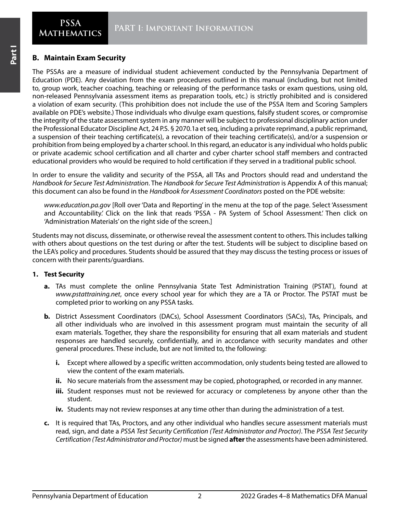## **B.** Maintain Exam Security

The PSSAs are a measure of individual student achievement conducted by the Pennsylvania Department of Education (PDE). Any deviation from the exam procedures outlined in this manual (including, but not limited to, group work, teacher coaching, teaching or releasing of the performance tasks or exam questions, using old, non-released Pennsylvania assessment items as preparation tools, etc.) is strictly prohibited and is considered a violation of exam security. (This prohibition does not include the use of the PSSA Item and Scoring Samplers available on PDE's website.) Those individuals who divulge exam questions, falsify student scores, or compromise the integrity of the state assessment system in any manner will be subject to professional disciplinary action under the Professional Educator Discipline Act, 24 P.S. § 2070.1a et seq, including a private reprimand, a public reprimand, a suspension of their teaching certificate(s), a revocation of their teaching certificate(s), and/or a suspension or prohibition from being employed by a charter school. In this regard, an educator is any individual who holds public or private academic school certification and all charter and cyber charter school staff members and contracted educational providers who would be required to hold certification if they served in a traditional public school.

In order to ensure the validity and security of the PSSA, all TAs and Proctors should read and understand the *Handbook for Secure Test Administration*. The *Handbook for Secure Test Administration* is [Appendix A](#page-30-0) of this manual; this document can also be found in the *Handbook for Assessment Coordinators* posted on the PDE website:

*[www.education.pa.gov](http://www.education.pa.gov)* [Roll over 'Data and Reporting' in the menu at the top of the page. Select 'Assessment and Accountability.' Click on the link that reads 'PSSA - PA System of School Assessment.' Then click on 'Administration Materials' on the right side of the screen.]

Students may not discuss, disseminate, or otherwise reveal the assessment content to others. This includes talking with others about questions on the test during or after the test. Students will be subject to discipline based on the LEA's policy and procedures. Students should be assured that they may discuss the testing process or issues of concern with their parents/guardians.

#### **1. Test Security**

- **a.** TAs must complete the online Pennsylvania State Test Administration Training (PSTAT), found at *[www.pstattraining.net](http://www.pstattraining.net)*, once every school year for which they are a TA or Proctor. The PSTAT must be completed prior to working on any PSSA tasks.
- **b.** District Assessment Coordinators (DACs), School Assessment Coordinators (SACs), TAs, Principals, and all other individuals who are involved in this assessment program must maintain the security of all exam materials. Together, they share the responsibility for ensuring that all exam materials and student responses are handled securely, confidentially, and in accordance with security mandates and other general procedures. These include, but are not limited to, the following:
	- **i.** Except where allowed by a specific written accommodation, only students being tested are allowed to view the content of the exam materials.
	- **ii.** No secure materials from the assessment may be copied, photographed, or recorded in any manner.
	- **iii.** Student responses must not be reviewed for accuracy or completeness by anyone other than the student.
	- **iv.** Students may not review responses at any time other than during the administration of a test.
- **c .** It is required that TAs, Proctors, and any other individual who handles secure assessment materials must read, sign, and date a *PSSA Test Security Certification (Test Administrator and Proctor)*. The *PSSA Test Security Certification (Test Administrator and Proctor)* must be signed **after** the assessments have been administered.

<span id="page-5-0"></span>**Part I**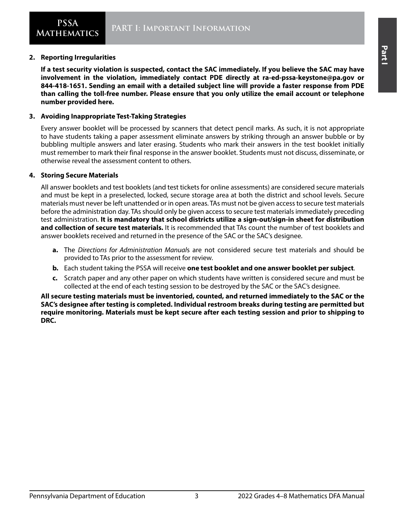## **2 . Reporting Irregularities**

**PSSA**

**If a test security violation is suspected, contact the SAC immediately . If you believe the SAC may have involvement in the violation, immediately contact PDE directly at [ra-ed-pssa-keystone@pa .gov](mailto:ra-ed-pssa-keystone%40pa.gov?subject=) or 844-418-1651 . Sending an email with a detailed subject line will provide a faster response from PDE**  than calling the toll-free number. Please ensure that you only utilize the email account or telephone **number provided here .**

## **3 . Avoiding Inappropriate Test-Taking Strategies**

Every answer booklet will be processed by scanners that detect pencil marks. As such, it is not appropriate to have students taking a paper assessment eliminate answers by striking through an answer bubble or by bubbling multiple answers and later erasing. Students who mark their answers in the test booklet initially must remember to mark their final response in the answer booklet. Students must not discuss, disseminate, or otherwise reveal the assessment content to others.

## **4 . Storing Secure Materials**

All answer booklets and test booklets (and test tickets for online assessments) are considered secure materials and must be kept in a preselected, locked, secure storage area at both the district and school levels. Secure materials must never be left unattended or in open areas. TAs must not be given access to secure test materials before the administration day. TAs should only be given access to secure test materials immediately preceding test administration. **It is mandatory that school districts utilize a sign-out/sign-in sheet for distribution and collection of secure test materials .** It is recommended that TAs count the number of test booklets and answer booklets received and returned in the presence of the SAC or the SAC's designee.

- **a.** The *Directions for Administration Manuals* are not considered secure test materials and should be provided to TAs prior to the assessment for review.
- **b .** Each student taking the PSSA will receive **one test booklet and one answer booklet per subject**.
- **c .** Scratch paper and any other paper on which students have written is considered secure and must be collected at the end of each testing session to be destroyed by the SAC or the SAC's designee.

**All secure testing materials must be inventoried, counted, and returned immediately to the SAC or the SAC's designee after testing is completed . Individual restroom breaks during testing are permitted but require monitoring . Materials must be kept secure after each testing session and prior to shipping to**  DRC.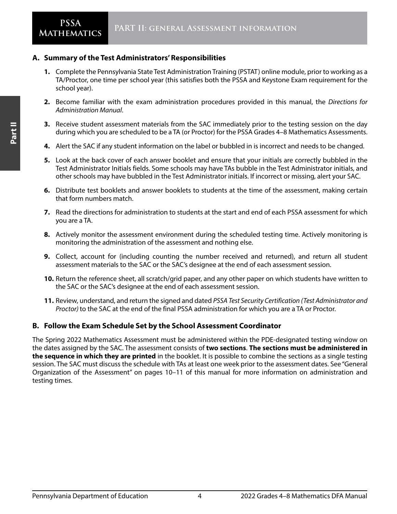### <span id="page-7-0"></span>**A . Summary of the Test Administrators' Responsibilities**

- **1 .** Complete the Pennsylvania State Test Administration Training (PSTAT) online module, prior to working as a TA/Proctor, one time per school year (this satisfies both the PSSA and Keystone Exam requirement for the school year).
- **2 .** Become familiar with the exam administration procedures provided in this manual, the *Directions for Administration Manual*.
- **3.** Receive student assessment materials from the SAC immediately prior to the testing session on the day during which you are scheduled to be a TA (or Proctor) for the PSSA Grades 4–8 Mathematics Assessments.
- **4 .** Alert the SAC if any student information on the label or bubbled in is incorrect and needs to be changed.
- **5.** Look at the back cover of each answer booklet and ensure that your initials are correctly bubbled in the Test Administrator Initials fields. Some schools may have TAs bubble in the Test Administrator initials, and other schools may have bubbled in the Test Administrator initials. If incorrect or missing, alert your SAC.
- **6 .** Distribute test booklets and answer booklets to students at the time of the assessment, making certain that form numbers match.
- **7 .** Read the directions for administration to students at the start and end of each PSSA assessment for which you are a TA.
- **8 .** Actively monitor the assessment environment during the scheduled testing time. Actively monitoring is monitoring the administration of the assessment and nothing else.
- **9.** Collect, account for (including counting the number received and returned), and return all student assessment materials to the SAC or the SAC's designee at the end of each assessment session.
- **10 .** Return the reference sheet, all scratch/grid paper, and any other paper on which students have written to the SAC or the SAC's designee at the end of each assessment session.
- **11 .** Review, understand, and return the signed and dated *PSSA Test Security Certification (Test Administrator and Proctor)* to the SAC at the end of the final PSSA administration for which you are a TA or Proctor.

## **B . Follow the Exam Schedule Set by the School Assessment Coordinator**

The Spring 2022 Mathematics Assessment must be administered within the PDE-designated testing window on the dates assigned by the SAC. The assessment consists of **two sections**. **The sections must be administered in the sequence in which they are printed** in the booklet. It is possible to combine the sections as a single testing session. The SAC must discuss the schedule with TAs at least one week prior to the assessment dates. See "General Organization of the Assessment" on [pages 10–](#page-13-1)[11](#page-14-1) of this manual for more information on administration and testing times.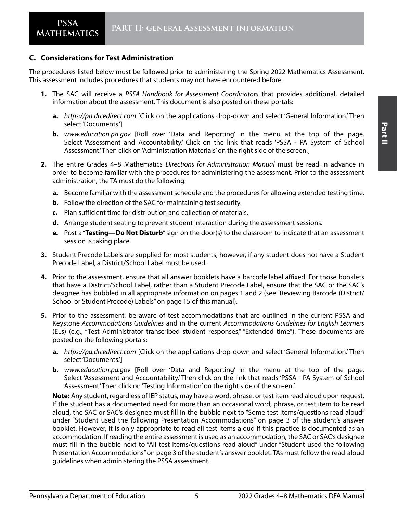### **C . Considerations for Test Administration**

<span id="page-8-0"></span>**PSSA**

The procedures listed below must be followed prior to administering the Spring 2022 Mathematics Assessment. This assessment includes procedures that students may not have encountered before.

- **1 .** The SAC will receive a *PSSA Handbook for Assessment Coordinators* that provides additional, detailed information about the assessment. This document is also posted on these portals:
	- **a .** *<https://pa.drcedirect.com>* [Click on the applications drop-down and select 'General Information.' Then select 'Documents.']
	- **b.** *[www.education.pa.gov](http://www.education.pa.gov)* [Roll over 'Data and Reporting' in the menu at the top of the page. Select 'Assessment and Accountability.' Click on the link that reads 'PSSA - PA System of School Assessment.' Then click on 'Administration Materials' on the right side of the screen.]
- **2 .** The entire Grades 4–8 Mathematics *Directions for Administration Manual* must be read in advance in order to become familiar with the procedures for administering the assessment. Prior to the assessment administration, the TA must do the following:
	- **a.** Become familiar with the assessment schedule and the procedures for allowing extended testing time.
	- **b.** Follow the direction of the SAC for maintaining test security.
	- **c .** Plan sufficient time for distribution and collection of materials.
	- **d.** Arrange student seating to prevent student interaction during the assessment sessions.
	- **e .** Post a "**Testing—Do Not Disturb**" sign on the door(s) to the classroom to indicate that an assessment session is taking place.
- **3 .** Student Precode Labels are supplied for most students; however, if any student does not have a Student Precode Label, a District/School Label must be used.
- **4 .** Prior to the assessment, ensure that all answer booklets have a barcode label affixed. For those booklets that have a District/School Label, rather than a Student Precode Label, ensure that the SAC or the SAC's designee has bubbled in all appropriate information on pages 1 and 2 (see "Reviewing Barcode (District/ School or Student Precode) Labels" on [page 15](#page-18-1) of this manual).
- **5.** Prior to the assessment, be aware of test accommodations that are outlined in the current PSSA and Keystone *Accommodations Guidelines* and in the current *Accommodations Guidelines for English Learners*  (ELs) (e.g., "Test Administrator transcribed student responses," "Extended time"). These documents are posted on the following portals:
	- **a .** *<https://pa.drcedirect.com>* [Click on the applications drop-down and select 'General Information.' Then select 'Documents.']
	- **b.** *[www.education.pa.gov](http://www.education.pa.gov)* [Roll over 'Data and Reporting' in the menu at the top of the page. Select 'Assessment and Accountability.' Then click on the link that reads 'PSSA - PA System of School Assessment.' Then click on 'Testing Information' on the right side of the screen.]

**Note:** Any student, regardless of IEP status, may have a word, phrase, or test item read aloud upon request. If the student has a documented need for more than an occasional word, phrase, or test item to be read aloud, the SAC or SAC's designee must fill in the bubble next to "Some test items/questions read aloud" under "Student used the following Presentation Accommodations" on page 3 of the student's answer booklet. However, it is only appropriate to read all test items aloud if this practice is documented as an accommodation. If reading the entire assessment is used as an accommodation, the SAC or SAC's designee must fill in the bubble next to "All test items/questions read aloud" under "Student used the following Presentation Accommodations" on page 3 of the student's answer booklet. TAs must follow the read-aloud guidelines when administering the PSSA assessment.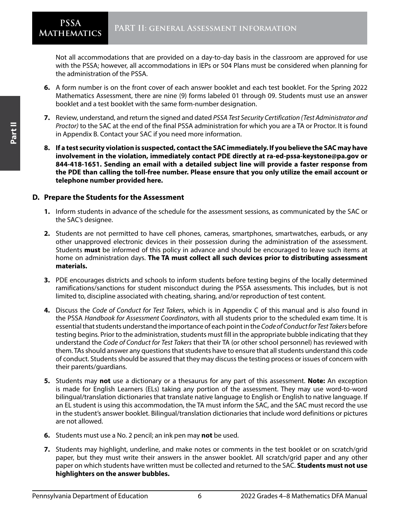Not all accommodations that are provided on a day-to-day basis in the classroom are approved for use with the PSSA; however, all accommodations in IEPs or 504 Plans must be considered when planning for the administration of the PSSA.

- **6 .** A form number is on the front cover of each answer booklet and each test booklet. For the Spring 2022 Mathematics Assessment, there are nine (9) forms labeled 01 through 09. Students must use an answer booklet and a test booklet with the same form-number designation.
- **7 .** Review, understand, and return the signed and dated *PSSA Test Security Certification (Test Administrator and Proctor)* to the SAC at the end of the final PSSA administration for which you are a TA or Proctor. It is found in [Appendix B.](#page-42-0) Contact your SAC if you need more information.
- **8 . If a test security violation is suspected, contact the SAC immediately . If you believe the SAC may have involvement in the violation, immediately contact PDE directly at [ra-ed-pssa-keystone@pa .gov](mailto:ra-ed-pssa-keystone%40pa.gov?subject=) or 844-418-1651 . Sending an email with a detailed subject line will provide a faster response from the PDE than calling the toll-free number . Please ensure that you only utilize the email account or telephone number provided here .**

### **D. Prepare the Students for the Assessment**

<span id="page-9-0"></span>**PSSA**

- **1 .** Inform students in advance of the schedule for the assessment sessions, as communicated by the SAC or the SAC's designee.
- **2.** Students are not permitted to have cell phones, cameras, smartphones, smartwatches, earbuds, or any other unapproved electronic devices in their possession during the administration of the assessment. Students **must** be informed of this policy in advance and should be encouraged to leave such items at home on administration days. **The TA must collect all such devices prior to distributing assessment materials .**
- **3 .** PDE encourages districts and schools to inform students before testing begins of the locally determined ramifications/sanctions for student misconduct during the PSSA assessments. This includes, but is not limited to, discipline associated with cheating, sharing, and/or reproduction of test content.
- **4 .** Discuss the *Code of Conduct for Test Takers*, which is in [Appendix C](#page-44-0) of this manual and is also found in the PSSA *Handbook for Assessment Coordinators*, with all students prior to the scheduled exam time. It is essential that students understand the importance of each point in the *Code of Conduct for Test Takers* before testing begins. Prior to the administration, students must fill in the appropriate bubble indicating that they understand the *Code of Conduct for Test Takers* that their TA (or other school personnel) has reviewed with them. TAs should answer any questions that students have to ensure that all students understand this code of conduct. Students should be assured that they may discuss the testing process or issues of concern with their parents/guardians.
- **5 .** Students may **not** use a dictionary or a thesaurus for any part of this assessment. **Note:** An exception is made for English Learners (ELs) taking any portion of the assessment. They may use word-to-word bilingual/translation dictionaries that translate native language to English or English to native language. If an EL student is using this accommodation, the TA must inform the SAC, and the SAC must record the use in the student's answer booklet. Bilingual/translation dictionaries that include word definitions or pictures are not allowed.
- **6 .** Students must use a No. 2 pencil; an ink pen may **not** be used.
- **7 .** Students may highlight, underline, and make notes or comments in the test booklet or on scratch/grid paper, but they must write their answers in the answer booklet. All scratch/grid paper and any other paper on which students have written must be collected and returned to the SAC. **Students must not use highlighters on the answer bubbles .**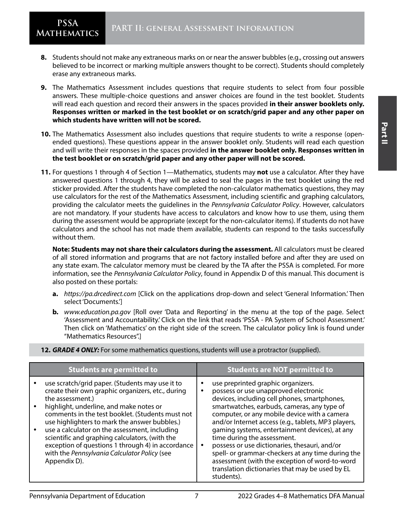- **8 .** Students should not make any extraneous marks on or near the answer bubbles (e.g., crossing out answers believed to be incorrect or marking multiple answers thought to be correct). Students should completely erase any extraneous marks.
- **9.** The Mathematics Assessment includes questions that require students to select from four possible answers. These multiple-choice questions and answer choices are found in the test booklet. Students will read each question and record their answers in the spaces provided **in their answer booklets only . Responses written or marked in the test booklet or on scratch/grid paper and any other paper on which students have written will not be scored .**
- **10.** The Mathematics Assessment also includes questions that require students to write a response (openended questions). These questions appear in the answer booklet only. Students will read each question and will write their responses in the spaces provided **in the answer booklet only . Responses written in the test booklet or on scratch/grid paper and any other paper will not be scored .**
- **11 .** For questions 1 through 4 of Section 1—Mathematics, students may **not** use a calculator. After they have answered questions 1 through 4, they will be asked to seal the pages in the test booklet using the red sticker provided. After the students have completed the non-calculator mathematics questions, they may use calculators for the rest of the Mathematics Assessment, including scientific and graphing calculators, providing the calculator meets the guidelines in the *Pennsylvania Calculator Policy*. However, calculators are not mandatory. If your students have access to calculators and know how to use them, using them during the assessment would be appropriate (except for the non-calculator items). If students do not have calculators and the school has not made them available, students can respond to the tasks successfully without them.

**Note: Students may not share their calculators during the assessment .** All calculators must be cleared of all stored information and programs that are not factory installed before and after they are used on any state exam. The calculator memory must be cleared by the TA after the PSSA is completed. For more information, see the *Pennsylvania Calculator Policy*, found in [Appendix D](#page-46-0) of this manual. This document is also posted on these portals:

- **a .** *<https://pa.drcedirect.com>* [Click on the applications drop-down and select 'General Information.' Then select 'Documents.']
- **b.** *[www.education.pa.gov](http://www.education.pa.gov)* [Roll over 'Data and Reporting' in the menu at the top of the page. Select 'Assessment and Accountability.' Click on the link that reads 'PSSA - PA System of School Assessment.' Then click on 'Mathematics' on the right side of the screen. The calculator policy link is found under "Mathematics Resources".]

12. **GRADE 4 ONLY:** For some mathematics questions, students will use a protractor (supplied).

| <b>Students are permitted to</b>                                                                                                                                                                                                                                                                                                                                            | <b>Students are NOT permitted to</b>                                                                                                                                                                                                                                                                                                                              |
|-----------------------------------------------------------------------------------------------------------------------------------------------------------------------------------------------------------------------------------------------------------------------------------------------------------------------------------------------------------------------------|-------------------------------------------------------------------------------------------------------------------------------------------------------------------------------------------------------------------------------------------------------------------------------------------------------------------------------------------------------------------|
| use scratch/grid paper. (Students may use it to<br>create their own graphic organizers, etc., during<br>the assessment.)<br>highlight, underline, and make notes or<br>comments in the test booklet. (Students must not<br>use highlighters to mark the answer bubbles.)<br>use a calculator on the assessment, including<br>scientific and graphing calculators, (with the | use preprinted graphic organizers.<br>possess or use unapproved electronic<br>devices, including cell phones, smartphones,<br>smartwatches, earbuds, cameras, any type of<br>computer, or any mobile device with a camera<br>and/or Internet access (e.g., tablets, MP3 players,<br>gaming systems, entertainment devices), at any<br>time during the assessment. |
| exception of questions 1 through 4) in accordance<br>with the Pennsylvania Calculator Policy (see<br>Appendix D).                                                                                                                                                                                                                                                           | possess or use dictionaries, thesauri, and/or<br>spell- or grammar-checkers at any time during the<br>assessment (with the exception of word-to-word<br>translation dictionaries that may be used by EL<br>students).                                                                                                                                             |

**PSSA**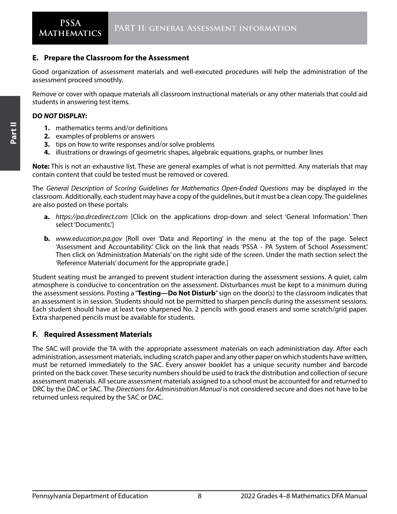### <span id="page-11-0"></span>**E.** Prepare the Classroom for the Assessment

Good organization of assessment materials and well-executed procedures will help the administration of the assessment proceed smoothly.

Remove or cover with opaque materials all classroom instructional materials or any other materials that could aid students in answering test items.

#### **DO** *NOT* **DISPLAY:**

**PSSA**

- **1 .** mathematics terms and/or definitions
- **2.** examples of problems or answers
- **3.** tips on how to write responses and/or solve problems
- **4 .** illustrations or drawings of geometric shapes, algebraic equations, graphs, or number lines

**Note:** This is not an exhaustive list. These are general examples of what is not permitted. Any materials that may contain content that could be tested must be removed or covered.

The *General Description of Scoring Guidelines for Mathematics Open-Ended Questions* may be displayed in the classroom. Additionally, each student may have a copy of the guidelines, but it must be a clean copy. The guidelines are also posted on these portals:

- **a.** *<https://pa.drcedirect.com>* [Click on the applications drop-down and select 'General Information.' Then select 'Documents.']
- **b.** *[www.education.pa.gov](http://www.education.pa.gov)* [Roll over 'Data and Reporting' in the menu at the top of the page. Select 'Assessment and Accountability.' Click on the link that reads 'PSSA - PA System of School Assessment.' Then click on 'Administration Materials' on the right side of the screen. Under the math section select the 'Reference Materials' document for the appropriate grade.]

Student seating must be arranged to prevent student interaction during the assessment sessions. A quiet, calm atmosphere is conducive to concentration on the assessment. Disturbances must be kept to a minimum during the assessment sessions. Posting a "**Testing—Do Not Disturb**" sign on the door(s) to the classroom indicates that an assessment is in session. Students should not be permitted to sharpen pencils during the assessment sessions. Each student should have at least two sharpened No. 2 pencils with good erasers and some scratch/grid paper. Extra sharpened pencils must be available for students.

## **F. Required Assessment Materials**

The SAC will provide the TA with the appropriate assessment materials on each administration day. After each administration, assessment materials, including scratch paper and any other paper on which students have written, must be returned immediately to the SAC. Every answer booklet has a unique security number and barcode printed on the back cover. These security numbers should be used to track the distribution and collection of secure assessment materials. All secure assessment materials assigned to a school must be accounted for and returned to DRC by the DAC or SAC. The *Directions for Administration Manual* is not considered secure and does not have to be returned unless required by the SAC or DAC.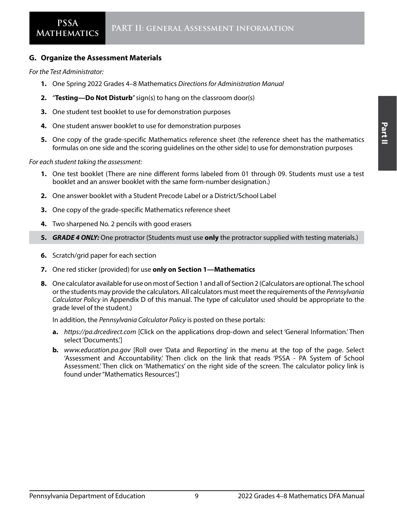### **G . Organize the Assessment Materials**

*For the Test Administrator:*

<span id="page-12-0"></span>**PSSA**

- **1 .** One Spring 2022 Grades 4–8 Mathematics *Directions for Administration Manual*
- **2. "Testing—Do Not Disturb**" sign(s) to hang on the classroom door(s)
- **3.** One student test booklet to use for demonstration purposes
- **4 .** One student answer booklet to use for demonstration purposes
- **5.** One copy of the grade-specific Mathematics reference sheet (the reference sheet has the mathematics formulas on one side and the scoring guidelines on the other side) to use for demonstration purposes

*For each student taking the assessment:*

- **1 .** One test booklet (There are nine different forms labeled from 01 through 09. Students must use a test booklet and an answer booklet with the same form-number designation.)
- **2 .** One answer booklet with a Student Precode Label or a District/School Label
- **3.** One copy of the grade-specific Mathematics reference sheet
- **4.** Two sharpened No. 2 pencils with good erasers
- **5 .** *GRADE 4 ONLY:* One protractor (Students must use **only** the protractor supplied with testing materials.)
- **6.** Scratch/grid paper for each section
- **7 .** One red sticker (provided) for use **only on Section 1—Mathematics**
- **8 .** One calculator available for use on most of Section 1 and all of Section 2 (Calculators are optional. The school or the students may provide the calculators. All calculators must meet the requirements of the *Pennsylvania Calculator Policy* in [Appendix D](#page-46-0) of this manual. The type of calculator used should be appropriate to the grade level of the student.)

In addition, the *Pennsylvania Calculator Policy* is posted on these portals:

- **a .** *<https://pa.drcedirect.com>* [Click on the applications drop-down and select 'General Information.' Then select 'Documents.']
- **b.** *[www.education.pa.gov](http://www.education.pa.gov)* [Roll over 'Data and Reporting' in the menu at the top of the page. Select 'Assessment and Accountability.' Then click on the link that reads 'PSSA - PA System of School Assessment.' Then click on 'Mathematics' on the right side of the screen. The calculator policy link is found under "Mathematics Resources".]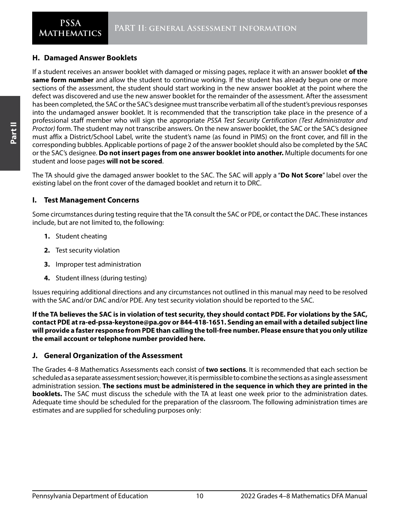## <span id="page-13-0"></span>**H. Damaged Answer Booklets**

**PSSA**

If a student receives an answer booklet with damaged or missing pages, replace it with an answer booklet **of the same form number** and allow the student to continue working. If the student has already begun one or more sections of the assessment, the student should start working in the new answer booklet at the point where the defect was discovered and use the new answer booklet for the remainder of the assessment. After the assessment has been completed, the SAC or the SAC's designee must transcribe verbatim all of the student's previous responses into the undamaged answer booklet. It is recommended that the transcription take place in the presence of a professional staff member who will sign the appropriate *PSSA Test Security Certification (Test Administrator and Proctor)* form. The student may not transcribe answers. On the new answer booklet, the SAC or the SAC's designee must affix a District/School Label, write the student's name (as found in PIMS) on the front cover, and fill in the corresponding bubbles. Applicable portions of page 2 of the answer booklet should also be completed by the SAC or the SAC's designee. **Do not insert pages from one answer booklet into another .** Multiple documents for one student and loose pages **will not be scored**.

The TA should give the damaged answer booklet to the SAC. The SAC will apply a "**Do Not Score**" label over the existing label on the front cover of the damaged booklet and return it to DRC.

## **I.** Test Management Concerns

Some circumstances during testing require that the TA consult the SAC or PDE, or contact the DAC. These instances include, but are not limited to, the following:

- **1.** Student cheating
- **2.** Test security violation
- **3.** Improper test administration
- **4.** Student illness (during testing)

Issues requiring additional directions and any circumstances not outlined in this manual may need to be resolved with the SAC and/or DAC and/or PDE. Any test security violation should be reported to the SAC.

**If the TA believes the SAC is in violation of test security, they should contact PDE . For violations by the SAC, contact PDE at [ra-ed-pssa-keystone@pa .gov](mailto:ra-ed-pssa-keystone%40pa.gov?subject=) or 844-418-1651 . Sending an email with a detailed subject line will provide a faster response from PDE than calling the toll-free number . Please ensure that you only utilize the email account or telephone number provided here .**

## <span id="page-13-1"></span>**J.** General Organization of the Assessment

The Grades 4–8 Mathematics Assessments each consist of **two sections**. It is recommended that each section be scheduled as a separate assessment session; however, it is permissible to combine the sections as a single assessment administration session. **The sections must be administered in the sequence in which they are printed in the booklets.** The SAC must discuss the schedule with the TA at least one week prior to the administration dates. Adequate time should be scheduled for the preparation of the classroom. The following administration times are estimates and are supplied for scheduling purposes only: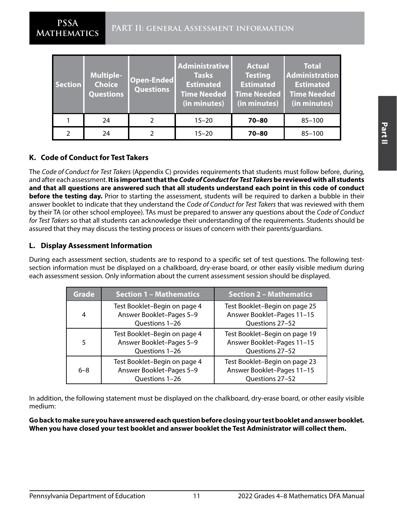<span id="page-14-0"></span>

| <b>Section</b> | Multiple-<br><b>Choice</b><br><b>Questions</b> | Open-Ended<br><b>Questions</b> | <b>Administrative</b><br><b>Tasks</b><br><b>Estimated</b><br><b>Time Needed</b><br>(in minutes) | <b>Actual</b><br><b>Testing</b><br><b>Estimated</b><br><b>Time Needed</b><br>(in minutes) | <b>Total</b><br><b>Administration</b><br><b>Estimated</b><br><b>Time Needed</b><br>(in minutes) |
|----------------|------------------------------------------------|--------------------------------|-------------------------------------------------------------------------------------------------|-------------------------------------------------------------------------------------------|-------------------------------------------------------------------------------------------------|
|                | 24                                             | $\overline{2}$                 | $15 - 20$                                                                                       | $70 - 80$                                                                                 | $85 - 100$                                                                                      |
|                | 24                                             | 2                              | $15 - 20$                                                                                       | $70 - 80$                                                                                 | $85 - 100$                                                                                      |

<span id="page-14-1"></span>**RT II: GENERAL ASSESSMENT INFORMATION** 

## **K.** Code of Conduct for Test Takers

**PSSA**

The *Code of Conduct for Test Takers* ([Appendix C](#page-44-0)) provides requirements that students must follow before, during, and after each assessment. **It is important that the** *Code of Conduct for Test Takers* **be reviewed with all students and that all questions are answered such that all students understand each point in this code of conduct before the testing day.** Prior to starting the assessment, students will be required to darken a bubble in their answer booklet to indicate that they understand the *Code of Conduct for Test Takers* that was reviewed with them by their TA (or other school employee). TAs must be prepared to answer any questions about the *Code of Conduct for Test Takers* so that all students can acknowledge their understanding of the requirements. Students should be assured that they may discuss the testing process or issues of concern with their parents/guardians.

## **L.** Display Assessment Information

During each assessment section, students are to respond to a specific set of test questions. The following testsection information must be displayed on a chalkboard, dry-erase board, or other easily visible medium during each assessment session. Only information about the current assessment session should be displayed.

| <b>Grade</b>                                                                          | <b>Section 1 - Mathematics</b>                                             | <b>Section 2 - Mathematics</b>                                                 |
|---------------------------------------------------------------------------------------|----------------------------------------------------------------------------|--------------------------------------------------------------------------------|
| 4                                                                                     | Test Booklet-Begin on page 4<br>Answer Booklet-Pages 5-9<br>Questions 1-26 | Test Booklet-Begin on page 25<br>Answer Booklet-Pages 11-15<br>Questions 27-52 |
| 5                                                                                     | Test Booklet-Begin on page 4<br>Answer Booklet-Pages 5-9<br>Questions 1-26 | Test Booklet-Begin on page 19<br>Answer Booklet-Pages 11-15<br>Questions 27-52 |
| Test Booklet-Begin on page 4<br>Answer Booklet-Pages 5-9<br>$6 - 8$<br>Questions 1-26 |                                                                            | Test Booklet-Begin on page 23<br>Answer Booklet-Pages 11-15<br>Questions 27-52 |

In addition, the following statement must be displayed on the chalkboard, dry-erase board, or other easily visible medium:

**Go back to make sure you have answered each question before closing your test booklet and answer booklet . When you have closed your test booklet and answer booklet the Test Administrator will collect them .**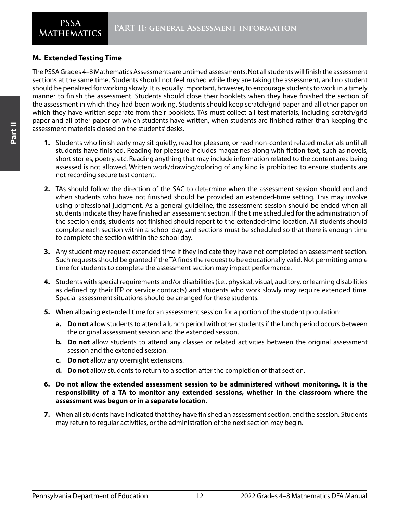## <span id="page-15-0"></span>**M. Extended Testing Time**

**PSSA**

The PSSA Grades 4–8 Mathematics Assessments are untimed assessments. Not all students will finish the assessment sections at the same time. Students should not feel rushed while they are taking the assessment, and no student should be penalized for working slowly. It is equally important, however, to encourage students to work in a timely manner to finish the assessment. Students should close their booklets when they have finished the section of the assessment in which they had been working. Students should keep scratch/grid paper and all other paper on which they have written separate from their booklets. TAs must collect all test materials, including scratch/grid paper and all other paper on which students have written, when students are finished rather than keeping the assessment materials closed on the students' desks.

- **1 .** Students who finish early may sit quietly, read for pleasure, or read non-content related materials until all students have finished. Reading for pleasure includes magazines along with fiction text, such as novels, short stories, poetry, etc. Reading anything that may include information related to the content area being assessed is not allowed. Written work/drawing/coloring of any kind is prohibited to ensure students are not recording secure test content.
- 2. TAs should follow the direction of the SAC to determine when the assessment session should end and when students who have not finished should be provided an extended-time setting. This may involve using professional judgment. As a general guideline, the assessment session should be ended when all students indicate they have finished an assessment section. If the time scheduled for the administration of the section ends, students not finished should report to the extended-time location. All students should complete each section within a school day, and sections must be scheduled so that there is enough time to complete the section within the school day.
- **3 .** Any student may request extended time if they indicate they have not completed an assessment section. Such requests should be granted if the TA finds the request to be educationally valid. Not permitting ample time for students to complete the assessment section may impact performance.
- **4 .** Students with special requirements and/or disabilities (i.e., physical, visual, auditory, or learning disabilities as defined by their IEP or service contracts) and students who work slowly may require extended time. Special assessment situations should be arranged for these students.
- **5 .** When allowing extended time for an assessment session for a portion of the student population:
	- **a.** Do not allow students to attend a lunch period with other students if the lunch period occurs between the original assessment session and the extended session.
	- **b.** Do not allow students to attend any classes or related activities between the original assessment session and the extended session.
	- **c.** Do not allow any overnight extensions.
	- **d.** Do not allow students to return to a section after the completion of that section.
- **6 . Do not allow the extended assessment session to be administered without monitoring . It is the responsibility of a TA to monitor any extended sessions, whether in the classroom where the assessment was begun or in a separate location .**
- **7 .** When all students have indicated that they have finished an assessment section, end the session. Students may return to regular activities, or the administration of the next section may begin.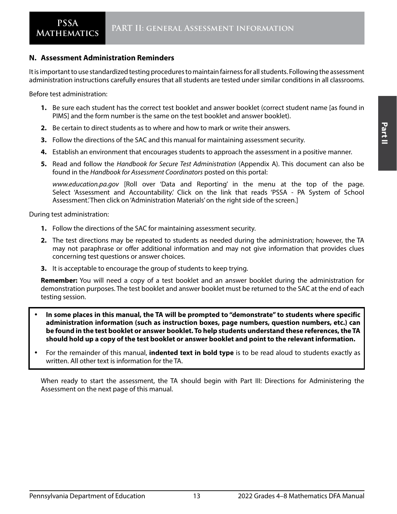### **N. Assessment Administration Reminders**

It is important to use standardized testing procedures to maintain fairness for all students. Following the assessment administration instructions carefully ensures that all students are tested under similar conditions in all classrooms.

Before test administration:

<span id="page-16-0"></span>**PSSA**

- **1 .** Be sure each student has the correct test booklet and answer booklet (correct student name [as found in PIMS] and the form number is the same on the test booklet and answer booklet).
- **2 .** Be certain to direct students as to where and how to mark or write their answers.
- **3.** Follow the directions of the SAC and this manual for maintaining assessment security.
- **4 .** Establish an environment that encourages students to approach the assessment in a positive manner.
- **5 .** Read and follow the *Handbook for Secure Test Administration* ([Appendix A\)](#page-30-0). This document can also be found in the *Handbook for Assessment Coordinators* posted on this portal:

*[www.education.pa.gov](http://www.education.pa.gov)* [Roll over 'Data and Reporting' in the menu at the top of the page. Select 'Assessment and Accountability.' Click on the link that reads 'PSSA - PA System of School Assessment.' Then click on 'Administration Materials' on the right side of the screen.]

During test administration:

- **1 .** Follow the directions of the SAC for maintaining assessment security.
- **2.** The test directions may be repeated to students as needed during the administration; however, the TA may not paraphrase or offer additional information and may not give information that provides clues concerning test questions or answer choices.
- **3.** It is acceptable to encourage the group of students to keep trying.

**Remember:** You will need a copy of a test booklet and an answer booklet during the administration for demonstration purposes. The test booklet and answer booklet must be returned to the SAC at the end of each testing session.

- y **In some places in this manual, the TA will be prompted to "demonstrate" to students where specific**  administration information (such as instruction boxes, page numbers, question numbers, etc.) can **be found in the test booklet or answer booklet . To help students understand these references, the TA should hold up a copy of the test booklet or answer booklet and point to the relevant information .**
- For the remainder of this manual, **indented text in bold type** is to be read aloud to students exactly as written. All other text is information for the TA.

When ready to start the assessment, the TA should begin with Part III: Directions for Administering the Assessment on the next page of this manual.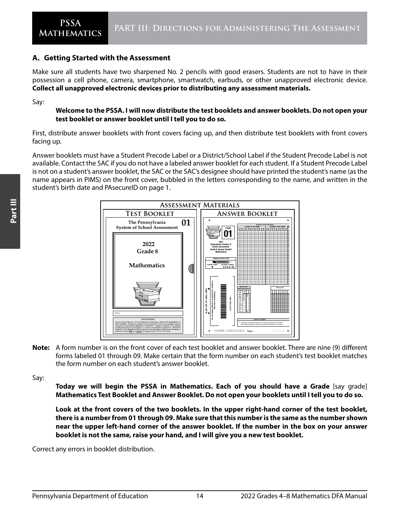#### **A . Getting Started with the Assessment**

<span id="page-17-0"></span>**PSSA Mathematics**

Make sure all students have two sharpened No. 2 pencils with good erasers. Students are not to have in their possession a cell phone, camera, smartphone, smartwatch, earbuds, or other unapproved electronic device. **Collect all unapproved electronic devices prior to distributing any assessment materials .**

Say:

**Welcome to the PSSA . I will now distribute the test booklets and answer booklets . Do not open your test booklet or answer booklet until I tell you to do so .**

First, distribute answer booklets with front covers facing up, and then distribute test booklets with front covers facing up.

Answer booklets must have a Student Precode Label or a District/School Label if the Student Precode Label is not available. Contact the SAC if you do not have a labeled answer booklet for each student. If a Student Precode Label is not on a student's answer booklet, the SAC or the SAC's designee should have printed the student's name (as the name appears in PIMS) on the front cover, bubbled in the letters corresponding to the name, and written in the student's birth date and PAsecureID on page 1.



**Note:** A form number is on the front cover of each test booklet and answer booklet. There are nine (9) different forms labeled 01 through 09. Make certain that the form number on each student's test booklet matches the form number on each student's answer booklet.

Say:

**Today we will begin the PSSA in Mathematics. Each of you should have a Grade** [say grade] **Mathematics Test Booklet and Answer Booklet . Do not open your booklets until I tell you to do so .**

Look at the front covers of the two booklets. In the upper right-hand corner of the test booklet, **there is a number from 01 through 09 . Make sure that this number is the same as the number shown near the upper left-hand corner of the answer booklet . If the number in the box on your answer booklet is not the same, raise your hand, and I will give you a new test booklet .**

Correct any errors in booklet distribution.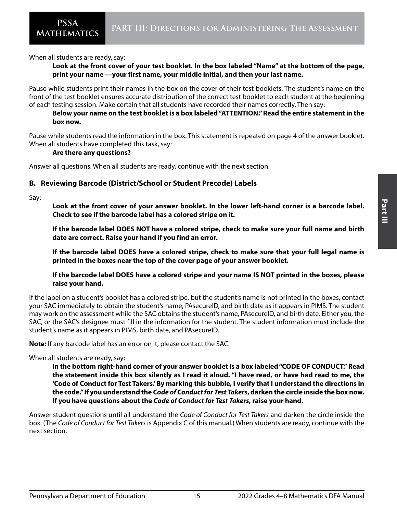When all students are ready, say:

<span id="page-18-0"></span>**PSSA**

#### **Look at the front cover of your test booklet . In the box labeled "Name" at the bottom of the page, print your name —your first name, your middle initial, and then your last name .**

Pause while students print their names in the box on the cover of their test booklets. The student's name on the front of the test booklet ensures accurate distribution of the correct test booklet to each student at the beginning of each testing session. Make certain that all students have recorded their names correctly. Then say:

#### **Below your name on the test booklet is a box labeled "ATTENTION ." Read the entire statement in the**  box now.

Pause while students read the information in the box. This statement is repeated on page 4 of the answer booklet. When all students have completed this task, say:

#### **Are there any questions?**

Answer all questions. When all students are ready, continue with the next section.

### <span id="page-18-1"></span>**B. Reviewing Barcode (District/School or Student Precode) Labels**

Say:

Look at the front cover of your answer booklet. In the lower left-hand corner is a barcode label. **Check to see if the barcode label has a colored stripe on it .**

**If the barcode label DOES NOT have a colored stripe, check to make sure your full name and birth**  date are correct. Raise your hand if you find an error.

**If the barcode label DOES have a colored stripe, check to make sure that your full legal name is printed in the boxes near the top of the cover page of your answer booklet .**

#### **If the barcode label DOES have a colored stripe and your name IS NOT printed in the boxes, please**  raise your hand.

If the label on a student's booklet has a colored stripe, but the student's name is not printed in the boxes, contact your SAC immediately to obtain the student's name, PAsecureID, and birth date as it appears in PIMS. The student may work on the assessment while the SAC obtains the student's name, PAsecureID, and birth date. Either you, the SAC, or the SAC's designee must fill in the information for the student. The student information must include the student's name as it appears in PIMS, birth date, and PAsecureID.

**Note:** If any barcode label has an error on it, please contact the SAC.

When all students are ready, say:

**In the bottom right-hand corner of your answer booklet is a box labeled "CODE OF CONDUCT ." Read the statement inside this box silently as I read it aloud . "I have read, or have had read to me, the 'Code of Conduct for Test Takers .' By marking this bubble, I verify that I understand the directions in the code ." If you understand the** *Code of Conduct for Test Takers***, darken the circle inside the box now . If you have questions about the** *Code of Conduct for Test Takers***, raise your hand .**

Answer student questions until all understand the *Code of Conduct for Test Takers* and darken the circle inside the box. (The *Code of Conduct for Test Takers* is [Appendix C](#page-44-0) of this manual.) When students are ready, continue with the next section.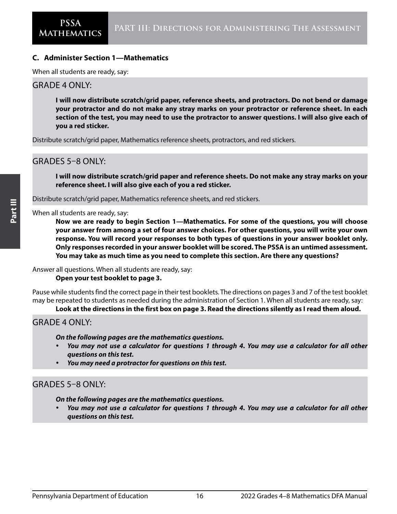### <span id="page-19-0"></span>**C . Administer Section 1—Mathematics**

When all students are ready, say:

## GRADE 4 ONLY:

**PSSA**

**I will now distribute scratch/grid paper, reference sheets, and protractors . Do not bend or damage your protractor and do not make any stray marks on your protractor or reference sheet . In each section of the test, you may need to use the protractor to answer questions . I will also give each of you a red sticker .**

Distribute scratch/grid paper, Mathematics reference sheets, protractors, and red stickers.

## GRADES 5–8 ONLY:

**I will now distribute scratch/grid paper and reference sheets . Do not make any stray marks on your reference sheet . I will also give each of you a red sticker .**

Distribute scratch/grid paper, Mathematics reference sheets, and red stickers.

#### When all students are ready, say:

**Now we are ready to begin Section 1—Mathematics . For some of the questions, you will choose your answer from among a set of four answer choices . For other questions, you will write your own**  response. You will record your responses to both types of questions in your answer booklet only. **Only responses recorded in your answer booklet will be scored . The PSSA is an untimed assessment . You may take as much time as you need to complete this section . Are there any questions?**

Answer all questions. When all students are ready, say:

**Open your test booklet to page 3 .**

Pause while students find the correct page in their test booklets. The directions on pages 3 and 7 of the test booklet may be repeated to students as needed during the administration of Section 1. When all students are ready, say:

Look at the directions in the first box on page 3. Read the directions silently as I read them aloud.

### GRADE 4 ONLY:

*On the following pages are the mathematics questions.*

- y *You may not use a calculator for questions 1 through 4. You may use a calculator for all other questions on this test.*
- y *You may need a protractor for questions on this test.*

## GRADES 5–8 ONLY:

*On the following pages are the mathematics questions.*

y *You may not use a calculator for questions 1 through 4. You may use a calculator for all other questions on this test.*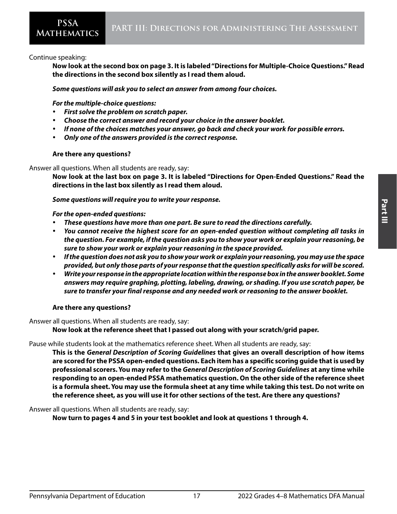#### Continue speaking:

**PSSA**

**Now look at the second box on page 3 . It is labeled "Directions for Multiple-Choice Questions ." Read**  the directions in the second box silently as I read them aloud.

*Some questions will ask you to select an answer from among four choices.*

*For the multiple-choice questions:*

- *First solve the problem on scratch paper.*
- y *Choose the correct answer and record your choice in the answer booklet.*
- y *If none of the choices matches your answer, go back and check your work for possible errors.*
- y *Only one of the answers provided is the correct response.*

#### **Are there any questions?**

Answer all questions. When all students are ready, say:

**Now look at the last box on page 3 . It is labeled "Directions for Open-Ended Questions ." Read the directions in the last box silently as I read them aloud .**

*Some questions will require you to write your response.*

*For the open-ended questions:*

- y *These questions have more than one part. Be sure to read the directions carefully.*
- y *You cannot receive the highest score for an open-ended question without completing all tasks in the question. For example, if the question asks you to show your work or explain your reasoning, be sure to show your work or explain your reasoning in the space provided.*
- y *If the question does not ask you to show your work or explain your reasoning, you may use the space provided, but only those parts of your response that the question specifically asks for will be scored.*
- y *Write your response in the appropriate location within the response box in the answer booklet. Some answers may require graphing, plotting, labeling, drawing, or shading. If you use scratch paper, be sure to transfer your final response and any needed work or reasoning to the answer booklet.*

#### **Are there any questions?**

Answer all questions. When all students are ready, say:

**Now look at the reference sheet that I passed out along with your scratch/grid paper .**

Pause while students look at the mathematics reference sheet. When all students are ready, say:

**This is the** *General Description of Scoring Guidelines* **that gives an overall description of how items are scored for the PSSA open-ended questions . Each item has a specific scoring guide that is used by professional scorers . You may refer to the** *General Description of Scoring Guidelines* **at any time while responding to an open-ended PSSA mathematics question . On the other side of the reference sheet is a formula sheet . You may use the formula sheet at any time while taking this test . Do not write on the reference sheet, as you will use it for other sections of the test . Are there any questions?**

Answer all questions. When all students are ready, say:

**Now turn to pages 4 and 5 in your test booklet and look at questions 1 through 4 .**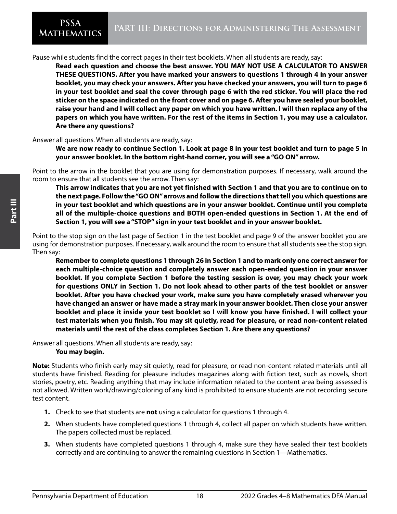Pause while students find the correct pages in their test booklets. When all students are ready, say:

**Read each question and choose the best answer . YOU MAY NOT USE A CALCULATOR TO ANSWER THESE QUESTIONS . After you have marked your answers to questions 1 through 4 in your answer booklet, you may check your answers . After you have checked your answers, you will turn to page 6 in your test booklet and seal the cover through page 6 with the red sticker . You will place the red sticker on the space indicated on the front cover and on page 6 . After you have sealed your booklet, raise your hand and I will collect any paper on which you have written . I will then replace any of the**  papers on which you have written. For the rest of the items in Section 1, you may use a calculator. **Are there any questions?**

#### Answer all questions. When all students are ready, say:

**PSSA**

**We are now ready to continue Section 1 . Look at page 8 in your test booklet and turn to page 5 in**  your answer booklet. In the bottom right-hand corner, you will see a "GO ON" arrow.

Point to the arrow in the booklet that you are using for demonstration purposes. If necessary, walk around the room to ensure that all students see the arrow. Then say:

**This arrow indicates that you are not yet finished with Section 1 and that you are to continue on to the next page . Follow the "GO ON" arrows and follow the directions that tell you which questions are in your test booklet and which questions are in your answer booklet . Continue until you complete all of the multiple-choice questions and BOTH open-ended questions in Section 1 . At the end of Section 1, you will see a "STOP" sign in your test booklet and in your answer booklet .**

Point to the stop sign on the last page of Section 1 in the test booklet and page 9 of the answer booklet you are using for demonstration purposes. If necessary, walk around the room to ensure that all students see the stop sign. Then say:

**Remember to complete questions 1 through 26 in Section 1 and to mark only one correct answer for each multiple-choice question and completely answer each open-ended question in your answer**  booklet. If you complete Section 1 before the testing session is over, you may check your work for questions ONLY in Section 1. Do not look ahead to other parts of the test booklet or answer **booklet . After you have checked your work, make sure you have completely erased wherever you have changed an answer or have made a stray mark in your answer booklet . Then close your answer booklet and place it inside your test booklet so I will know you have finished . I will collect your**  test materials when you finish. You may sit quietly, read for pleasure, or read non-content related **materials until the rest of the class completes Section 1 . Are there any questions?**

Answer all questions. When all students are ready, say:

#### You may begin.

**Note:** Students who finish early may sit quietly, read for pleasure, or read non-content related materials until all students have finished. Reading for pleasure includes magazines along with fiction text, such as novels, short stories, poetry, etc. Reading anything that may include information related to the content area being assessed is not allowed. Written work/drawing/coloring of any kind is prohibited to ensure students are not recording secure test content.

- **1 .** Check to see that students are **not** using a calculator for questions 1 through 4.
- **2 .** When students have completed questions 1 through 4, collect all paper on which students have written. The papers collected must be replaced.
- **3.** When students have completed questions 1 through 4, make sure they have sealed their test booklets correctly and are continuing to answer the remaining questions in Section 1—Mathematics.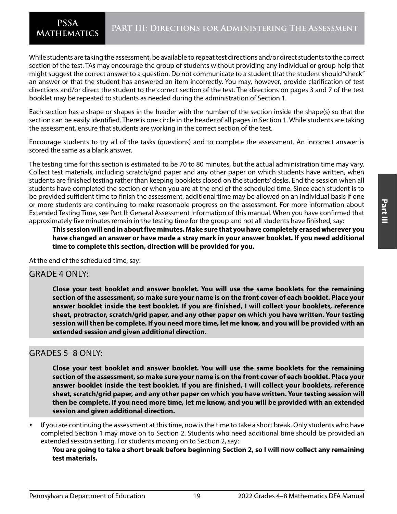**PSSA**

While students are taking the assessment, be available to repeat test directions and/or direct students to the correct section of the test. TAs may encourage the group of students without providing any individual or group help that might suggest the correct answer to a question. Do not communicate to a student that the student should "check" an answer or that the student has answered an item incorrectly. You may, however, provide clarification of test directions and/or direct the student to the correct section of the test. The directions on pages 3 and 7 of the test booklet may be repeated to students as needed during the administration of Section 1.

Each section has a shape or shapes in the header with the number of the section inside the shape(s) so that the section can be easily identified. There is one circle in the header of all pages in Section 1. While students are taking the assessment, ensure that students are working in the correct section of the test.

Encourage students to try all of the tasks (questions) and to complete the assessment. An incorrect answer is scored the same as a blank answer.

The testing time for this section is estimated to be 70 to 80 minutes, but the actual administration time may vary. Collect test materials, including scratch/grid paper and any other paper on which students have written, when students are finished testing rather than keeping booklets closed on the students' desks. End the session when all students have completed the section or when you are at the end of the scheduled time. Since each student is to be provided sufficient time to finish the assessment, additional time may be allowed on an individual basis if one or more students are continuing to make reasonable progress on the assessment. For more information about Extended Testing Time, see Part II: General Assessment Information of this manual. When you have confirmed that approximately five minutes remain in the testing time for the group and not all students have finished, say:

**This session will end in about five minutes . Make sure that you have completely erased wherever you have changed an answer or have made a stray mark in your answer booklet . If you need additional time to complete this section, direction will be provided for you .**

At the end of the scheduled time, say:

## GRADE 4 ONLY:

Close your test booklet and answer booklet. You will use the same booklets for the remaining section of the assessment, so make sure your name is on the front cover of each booklet. Place your **answer booklet inside the test booklet . If you are finished, I will collect your booklets, reference sheet, protractor, scratch/grid paper, and any other paper on which you have written . Your testing session will then be complete . If you need more time, let me know, and you will be provided with an**  extended session and given additional direction.

## GRADES 5–8 ONLY:

**Close your test booklet and answer booklet . You will use the same booklets for the remaining section of the assessment, so make sure your name is on the front cover of each booklet . Place your answer booklet inside the test booklet . If you are finished, I will collect your booklets, reference**  sheet, scratch/grid paper, and any other paper on which you have written. Your testing session will **then be complete . If you need more time, let me know, and you will be provided with an extended session and given additional direction .**

If you are continuing the assessment at this time, now is the time to take a short break. Only students who have completed Section 1 may move on to Section 2. Students who need additional time should be provided an extended session setting. For students moving on to Section 2, say:

**You are going to take a short break before beginning Section 2, so I will now collect any remaining test materials .**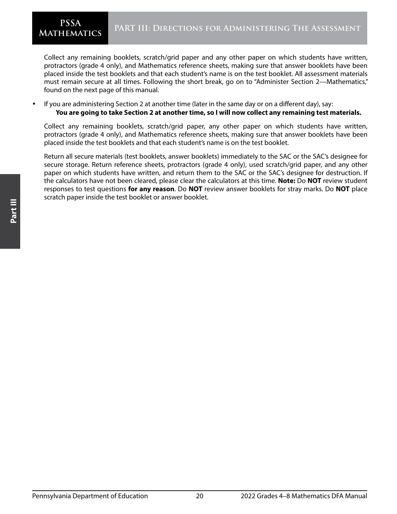# **PSSA**

Collect any remaining booklets, scratch/grid paper and any other paper on which students have written, protractors (grade 4 only), and Mathematics reference sheets, making sure that answer booklets have been placed inside the test booklets and that each student's name is on the test booklet. All assessment materials must remain secure at all times. Following the short break, go on to "Administer Section 2—Mathematics," found on the next page of this manual.

If you are administering Section 2 at another time (later in the same day or on a different day), say: **You are going to take Section 2 at another time, so I will now collect any remaining test materials .**

Collect any remaining booklets, scratch/grid paper, any other paper on which students have written, protractors (grade 4 only), and Mathematics reference sheets, making sure that answer booklets have been placed inside the test booklets and that each student's name is on the test booklet.

Return all secure materials (test booklets, answer booklets) immediately to the SAC or the SAC's designee for secure storage. Return reference sheets, protractors (grade 4 only), used scratch/grid paper, and any other paper on which students have written, and return them to the SAC or the SAC's designee for destruction. If the calculators have not been cleared, please clear the calculators at this time. **Note:** Do **NOT** review student responses to test questions **for any reason**. Do **NOT** review answer booklets for stray marks. Do **NOT** place scratch paper inside the test booklet or answer booklet.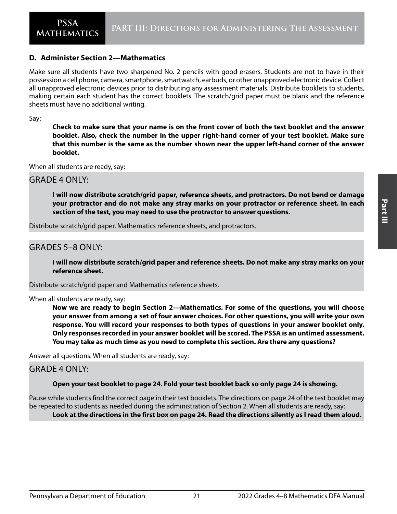#### **D. Administer Section 2—Mathematics**

<span id="page-24-0"></span>**PSSA**

Make sure all students have two sharpened No. 2 pencils with good erasers. Students are not to have in their possession a cell phone, camera, smartphone, smartwatch, earbuds, or other unapproved electronic device. Collect all unapproved electronic devices prior to distributing any assessment materials. Distribute booklets to students, making certain each student has the correct booklets. The scratch/grid paper must be blank and the reference sheets must have no additional writing.

Say:

**Check to make sure that your name is on the front cover of both the test booklet and the answer**  booklet. Also, check the number in the upper right-hand corner of your test booklet. Make sure **that this number is the same as the number shown near the upper left-hand corner of the answer booklet .**

When all students are ready, say:

## GRADE 4 ONLY:

**I will now distribute scratch/grid paper, reference sheets, and protractors . Do not bend or damage your protractor and do not make any stray marks on your protractor or reference sheet . In each section of the test, you may need to use the protractor to answer questions .**

Distribute scratch/grid paper, Mathematics reference sheets, and protractors.

## GRADES 5–8 ONLY:

**I will now distribute scratch/grid paper and reference sheets . Do not make any stray marks on your**  reference sheet.

Distribute scratch/grid paper and Mathematics reference sheets.

#### When all students are ready, say:

**Now we are ready to begin Section 2—Mathematics . For some of the questions, you will choose your answer from among a set of four answer choices . For other questions, you will write your own**  response. You will record your responses to both types of questions in your answer booklet only. **Only responses recorded in your answer booklet will be scored . The PSSA is an untimed assessment . You may take as much time as you need to complete this section . Are there any questions?**

Answer all questions. When all students are ready, say:

## GRADE 4 ONLY:

#### **Open your test booklet to page 24 . Fold your test booklet back so only page 24 is showing .**

Pause while students find the correct page in their test booklets. The directions on page 24 of the test booklet may be repeated to students as needed during the administration of Section 2. When all students are ready, say:

**Look at the directions in the first box on page 24 . Read the directions silently as I read them aloud .**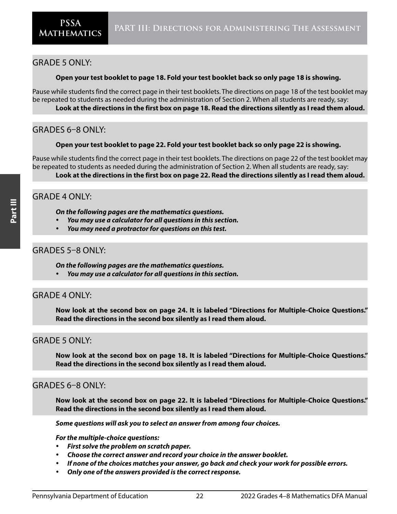## GRADE 5 ONLY:

#### **Open your test booklet to page 18 . Fold your test booklet back so only page 18 is showing .**

Pause while students find the correct page in their test booklets. The directions on page 18 of the test booklet may be repeated to students as needed during the administration of Section 2. When all students are ready, say: **Look at the directions in the first box on page 18 . Read the directions silently as I read them aloud .**

## GRADES 6–8 ONLY:

#### **Open your test booklet to page 22 . Fold your test booklet back so only page 22 is showing .**

Pause while students find the correct page in their test booklets. The directions on page 22 of the test booklet may be repeated to students as needed during the administration of Section 2. When all students are ready, say: Look at the directions in the first box on page 22. Read the directions silently as I read them aloud.

## GRADE 4 ONLY:

#### *On the following pages are the mathematics questions.*

- y *You may use a calculator for all questions in this section.*
- y *You may need a protractor for questions on this test.*

## GRADES 5–8 ONLY:

*On the following pages are the mathematics questions.*

y *You may use a calculator for all questions in this section.*

## GRADE 4 ONLY:

**Now look at the second box on page 24 . It is labeled "Directions for Multiple-Choice Questions ." Read the directions in the second box silently as I read them aloud .**

## GRADE 5 ONLY:

**Now look at the second box on page 18 . It is labeled "Directions for Multiple-Choice Questions ." Read the directions in the second box silently as I read them aloud .**

## GRADES 6–8 ONLY:

**Now look at the second box on page 22 . It is labeled "Directions for Multiple-Choice Questions ." Read the directions in the second box silently as I read them aloud .**

*Some questions will ask you to select an answer from among four choices.*

*For the multiple-choice questions:*

- *First solve the problem on scratch paper.*
- y *Choose the correct answer and record your choice in the answer booklet.*
- y *If none of the choices matches your answer, go back and check your work for possible errors.*
- y *Only one of the answers provided is the correct response.*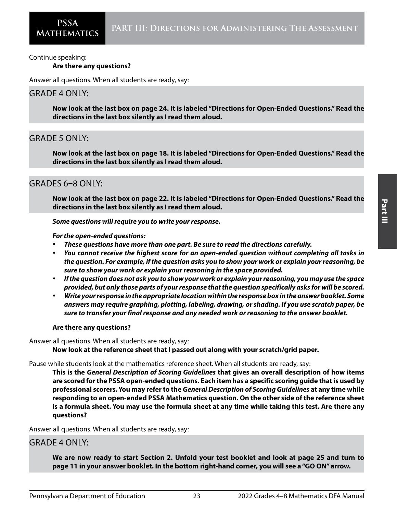Continue speaking:

**PSSA**

#### **Are there any questions?**

Answer all questions. When all students are ready, say:

## GRADE 4 ONLY:

**Now look at the last box on page 24 . It is labeled "Directions for Open-Ended Questions ." Read the**  directions in the last box silently as I read them aloud.

## GRADE 5 ONLY:

**Now look at the last box on page 18 . It is labeled "Directions for Open-Ended Questions ." Read the directions in the last box silently as I read them aloud .**

## GRADES 6–8 ONLY:

**Now look at the last box on page 22 . It is labeled "Directions for Open-Ended Questions ." Read the**  directions in the last box silently as I read them aloud.

*Some questions will require you to write your response.*

*For the open-ended questions:*

- y *These questions have more than one part. Be sure to read the directions carefully.*
- y *You cannot receive the highest score for an open-ended question without completing all tasks in the question. For example, if the question asks you to show your work or explain your reasoning, be sure to show your work or explain your reasoning in the space provided.*
- y *If the question does not ask you to show your work or explain your reasoning, you may use the space provided, but only those parts of your response that the question specifically asks for will be scored.*
- y *Write your response in the appropriate location within the response box in the answer booklet. Some answers may require graphing, plotting, labeling, drawing, or shading. If you use scratch paper, be sure to transfer your final response and any needed work or reasoning to the answer booklet.*

#### **Are there any questions?**

Answer all questions. When all students are ready, say:

**Now look at the reference sheet that I passed out along with your scratch/grid paper .**

Pause while students look at the mathematics reference sheet. When all students are ready, say:

**This is the** *General Description of Scoring Guidelines* **that gives an overall description of how items are scored for the PSSA open-ended questions . Each item has a specific scoring guide that is used by professional scorers . You may refer to the** *General Description of Scoring Guidelines* **at any time while responding to an open-ended PSSA Mathematics question . On the other side of the reference sheet**  is a formula sheet. You may use the formula sheet at any time while taking this test. Are there any **questions?**

Answer all questions. When all students are ready, say:

### GRADE 4 ONLY:

We are now ready to start Section 2. Unfold your test booklet and look at page 25 and turn to page 11 in your answer booklet. In the bottom right-hand corner, you will see a **"GO ON" arrow.**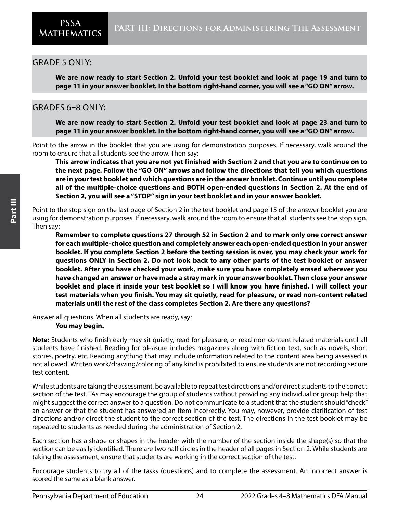## GRADE 5 ONLY:

We are now ready to start Section 2. Unfold your test booklet and look at page 19 and turn to **page 11 in your answer booklet . In the bottom right-hand corner, you will see a "GO ON" arrow .**

## GRADES 6–8 ONLY:

We are now ready to start Section 2. Unfold your test booklet and look at page 23 and turn to **page 11 in your answer booklet . In the bottom right-hand corner, you will see a "GO ON" arrow .**

Point to the arrow in the booklet that you are using for demonstration purposes. If necessary, walk around the room to ensure that all students see the arrow. Then say:

**This arrow indicates that you are not yet finished with Section 2 and that you are to continue on to the next page . Follow the "GO ON" arrows and follow the directions that tell you which questions are in your test booklet and which questions are in the answer booklet . Continue until you complete all of the multiple-choice questions and BOTH open-ended questions in Section 2 . At the end of Section 2, you will see a "STOP" sign in your test booklet and in your answer booklet .**

Point to the stop sign on the last page of Section 2 in the test booklet and page 15 of the answer booklet you are using for demonstration purposes. If necessary, walk around the room to ensure that all students see the stop sign. Then say:

**Remember to complete questions 27 through 52 in Section 2 and to mark only one correct answer for each multiple-choice question and completely answer each open-ended question in your answer booklet . If you complete Section 2 before the testing session is over, you may check your work for questions ONLY in Section 2 . Do not look back to any other parts of the test booklet or answer booklet . After you have checked your work, make sure you have completely erased wherever you have changed an answer or have made a stray mark in your answer booklet . Then close your answer booklet and place it inside your test booklet so I will know you have finished . I will collect your**  test materials when you finish. You may sit quietly, read for pleasure, or read non-content related **materials until the rest of the class completes Section 2 . Are there any questions?**

Answer all questions. When all students are ready, say:

#### You may begin.

**Note:** Students who finish early may sit quietly, read for pleasure, or read non-content related materials until all students have finished. Reading for pleasure includes magazines along with fiction text, such as novels, short stories, poetry, etc. Reading anything that may include information related to the content area being assessed is not allowed. Written work/drawing/coloring of any kind is prohibited to ensure students are not recording secure test content.

While students are taking the assessment, be available to repeat test directions and/or direct students to the correct section of the test. TAs may encourage the group of students without providing any individual or group help that might suggest the correct answer to a question. Do not communicate to a student that the student should "check" an answer or that the student has answered an item incorrectly. You may, however, provide clarification of test directions and/or direct the student to the correct section of the test. The directions in the test booklet may be repeated to students as needed during the administration of Section 2.

Each section has a shape or shapes in the header with the number of the section inside the shape(s) so that the section can be easily identified. There are two half circles in the header of all pages in Section 2. While students are taking the assessment, ensure that students are working in the correct section of the test.

Encourage students to try all of the tasks (questions) and to complete the assessment. An incorrect answer is scored the same as a blank answer.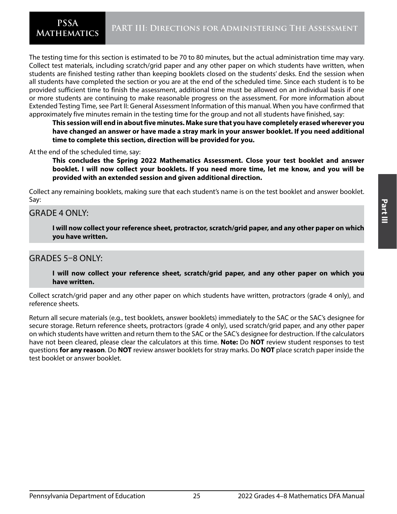The testing time for this section is estimated to be 70 to 80 minutes, but the actual administration time may vary. Collect test materials, including scratch/grid paper and any other paper on which students have written, when students are finished testing rather than keeping booklets closed on the students' desks. End the session when all students have completed the section or you are at the end of the scheduled time. Since each student is to be provided sufficient time to finish the assessment, additional time must be allowed on an individual basis if one or more students are continuing to make reasonable progress on the assessment. For more information about Extended Testing Time, see Part II: General Assessment Information of this manual. When you have confirmed that approximately five minutes remain in the testing time for the group and not all students have finished, say:

**This session will end in about five minutes . Make sure that you have completely erased wherever you have changed an answer or have made a stray mark in your answer booklet . If you need additional time to complete this section, direction will be provided for you .**

At the end of the scheduled time, say:

**PSSA**

This concludes the Spring 2022 Mathematics Assessment. Close your test booklet and answer **booklet . I will now collect your booklets . If you need more time, let me know, and you will be provided with an extended session and given additional direction .**

Collect any remaining booklets, making sure that each student's name is on the test booklet and answer booklet. Say:

### GRADE 4 ONLY:

**I will now collect your reference sheet, protractor, scratch/grid paper, and any other paper on which you have written .**

## GRADES 5–8 ONLY:

**I will now collect your reference sheet, scratch/grid paper, and any other paper on which you have written .**

Collect scratch/grid paper and any other paper on which students have written, protractors (grade 4 only), and reference sheets.

Return all secure materials (e.g., test booklets, answer booklets) immediately to the SAC or the SAC's designee for secure storage. Return reference sheets, protractors (grade 4 only), used scratch/grid paper, and any other paper on which students have written and return them to the SAC or the SAC's designee for destruction. If the calculators have not been cleared, please clear the calculators at this time. **Note:** Do **NOT** review student responses to test questions **for any reason**. Do **NOT** review answer booklets for stray marks. Do **NOT** place scratch paper inside the test booklet or answer booklet.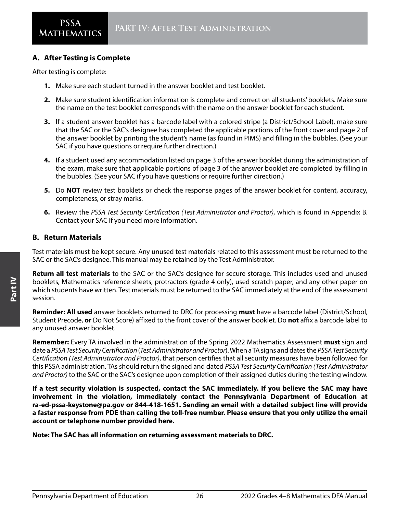## <span id="page-29-0"></span>**A. After Testing is Complete**

After testing is complete:

**PSSA**

- **1.** Make sure each student turned in the answer booklet and test booklet.
- **2 .** Make sure student identification information is complete and correct on all students' booklets. Make sure the name on the test booklet corresponds with the name on the answer booklet for each student.
- **3 .** If a student answer booklet has a barcode label with a colored stripe (a District/School Label), make sure that the SAC or the SAC's designee has completed the applicable portions of the front cover and page 2 of the answer booklet by printing the student's name (as found in PIMS) and filling in the bubbles. (See your SAC if you have questions or require further direction.)
- **4 .** If a student used any accommodation listed on page 3 of the answer booklet during the administration of the exam, make sure that applicable portions of page 3 of the answer booklet are completed by filling in the bubbles. (See your SAC if you have questions or require further direction.)
- **5 .** Do **NOT** review test booklets or check the response pages of the answer booklet for content, accuracy, completeness, or stray marks.
- **6 .** Review the *PSSA Test Security Certification (Test Administrator and Proctor)*, which is found in [Appendix B.](#page-42-0) Contact your SAC if you need more information.

### **B.** Return Materials

Test materials must be kept secure. Any unused test materials related to this assessment must be returned to the SAC or the SAC's designee. This manual may be retained by the Test Administrator.

**Return all test materials** to the SAC or the SAC's designee for secure storage. This includes used and unused booklets, Mathematics reference sheets, protractors (grade 4 only), used scratch paper, and any other paper on which students have written. Test materials must be returned to the SAC immediately at the end of the assessment session.

**Reminder: All used** answer booklets returned to DRC for processing **must** have a barcode label (District/School, Student Precode, **or** Do Not Score) affixed to the front cover of the answer booklet. Do **not** affix a barcode label to any unused answer booklet.

**Remember:** Every TA involved in the administration of the Spring 2022 Mathematics Assessment **must** sign and date a *PSSA Test Security Certification* (*Test Administrator and Proctor*). When a TA signs and dates the *PSSA Test Security Certification (Test Administrator and Proctor)*, that person certifies that all security measures have been followed for this PSSA administration. TAs should return the signed and dated *PSSA Test Security Certification (Test Administrator and Proctor)* to the SAC or the SAC's designee upon completion of their assigned duties during the testing window.

**If a test security violation is suspected, contact the SAC immediately . If you believe the SAC may have involvement in the violation, immediately contact the Pennsylvania Department of Education at [ra-ed-pssa-keystone@pa .gov](mailto:ra-ed-pssa-keystone%40pa.gov?subject=) or 844-418-1651 . Sending an email with a detailed subject line will provide a faster response from PDE than calling the toll-free number . Please ensure that you only utilize the email account or telephone number provided here .**

**Note: The SAC has all information on returning assessment materials to DRC .**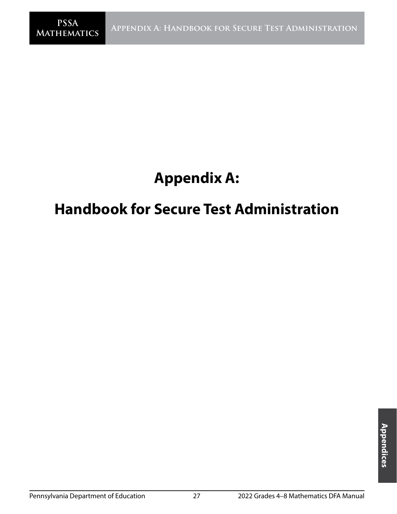<span id="page-30-0"></span>

## **Appendix A:**

## **Handbook for Secure Test Administration**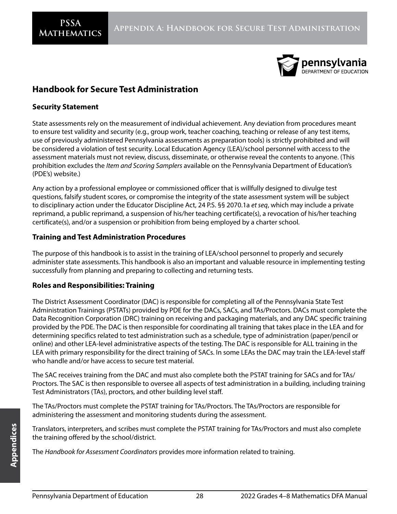

## **Handbook for Secure Test Administration**

### **Security Statement**

State assessments rely on the measurement of individual achievement. Any deviation from procedures meant to ensure test validity and security (e.g., group work, teacher coaching, teaching or release of any test items, use of previously administered Pennsylvania assessments as preparation tools) is strictly prohibited and will be considered a violation of test security. Local Education Agency (LEA)/school personnel with access to the assessment materials must not review, discuss, disseminate, or otherwise reveal the contents to anyone. (This prohibition excludes the *Item and Scoring Samplers* available on the Pennsylvania Department of Education's (PDE's) website.)

Any action by a professional employee or commissioned officer that is willfully designed to divulge test questions, falsify student scores, or compromise the integrity of the state assessment system will be subject to disciplinary action under the Educator Discipline Act, 24 P.S. §§ 2070.1a *et seq*, which may include a private reprimand, a public reprimand, a suspension of his/her teaching certificate(s), a revocation of his/her teaching certificate(s), and/or a suspension or prohibition from being employed by a charter school.

## **Training and Test Administration Procedures**

The purpose of this handbook is to assist in the training of LEA/school personnel to properly and securely administer state assessments. This handbook is also an important and valuable resource in implementing testing successfully from planning and preparing to collecting and returning tests.

## **Roles and Responsibilities: Training**

The District Assessment Coordinator (DAC) is responsible for completing all of the Pennsylvania State Test Administration Trainings (PSTATs) provided by PDE for the DACs, SACs, and TAs/Proctors. DACs must complete the Data Recognition Corporation (DRC) training on receiving and packaging materials, and any DAC specific training provided by the PDE. The DAC is then responsible for coordinating all training that takes place in the LEA and for determining specifics related to test administration such as a schedule, type of administration (paper/pencil or online) and other LEA-level administrative aspects of the testing. The DAC is responsible for ALL training in the LEA with primary responsibility for the direct training of SACs. In some LEAs the DAC may train the LEA-level staff who handle and/or have access to secure test material.

The SAC receives training from the DAC and must also complete both the PSTAT training for SACs and for TAs/ Proctors. The SAC is then responsible to oversee all aspects of test administration in a building, including training Test Administrators (TAs), proctors, and other building level staff.

The TAs/Proctors must complete the PSTAT training for TAs/Proctors. The TAs/Proctors are responsible for administering the assessment and monitoring students during the assessment.

Translators, interpreters, and scribes must complete the PSTAT training for TAs/Proctors and must also complete the training offered by the school/district.

The *Handbook for Assessment Coordinators* provides more information related to training.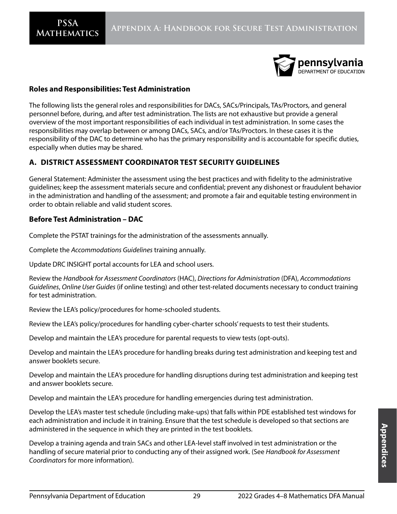

### **Roles and Responsibilities: Test Administration**

**PSSA**

The following lists the general roles and responsibilities for DACs, SACs/Principals, TAs/Proctors, and general personnel before, during, and after test administration. The lists are not exhaustive but provide a general overview of the most important responsibilities of each individual in test administration. In some cases the responsibilities may overlap between or among DACs, SACs, and/or TAs/Proctors. In these cases it is the responsibility of the DAC to determine who has the primary responsibility and is accountable for specific duties, especially when duties may be shared.

## **A . DISTRICT ASSESSMENT COORDINATOR TEST SECURITY GUIDELINES**

General Statement: Administer the assessment using the best practices and with fidelity to the administrative guidelines; keep the assessment materials secure and confidential; prevent any dishonest or fraudulent behavior in the administration and handling of the assessment; and promote a fair and equitable testing environment in order to obtain reliable and valid student scores.

### **Before Test Administration – DAC**

Complete the PSTAT trainings for the administration of the assessments annually.

Complete the *Accommodations Guidelines* training annually.

Update DRC INSIGHT portal accounts for LEA and school users.

Review the *Handbook for Assessment Coordinators* (HAC), *Directions for Administration* (DFA), *Accommodations Guidelines*, *Online User Guides* (if online testing) and other test-related documents necessary to conduct training for test administration.

Review the LEA's policy/procedures for home-schooled students.

Review the LEA's policy/procedures for handling cyber-charter schools' requests to test their students.

Develop and maintain the LEA's procedure for parental requests to view tests (opt-outs).

Develop and maintain the LEA's procedure for handling breaks during test administration and keeping test and answer booklets secure.

Develop and maintain the LEA's procedure for handling disruptions during test administration and keeping test and answer booklets secure.

Develop and maintain the LEA's procedure for handling emergencies during test administration.

Develop the LEA's master test schedule (including make-ups) that falls within PDE established test windows for each administration and include it in training. Ensure that the test schedule is developed so that sections are administered in the sequence in which they are printed in the test booklets.

Develop a training agenda and train SACs and other LEA-level staff involved in test administration or the handling of secure material prior to conducting any of their assigned work. (See *Handbook for Assessment Coordinators* for more information).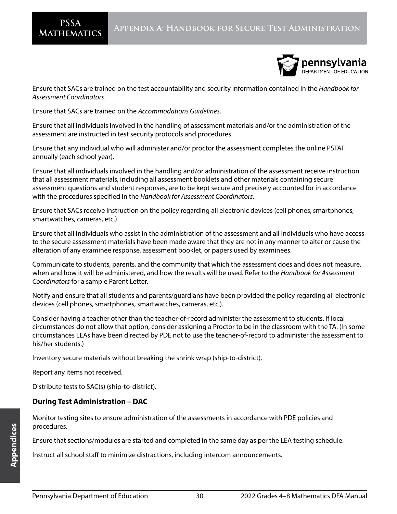

Ensure that SACs are trained on the test accountability and security information contained in the *Handbook for Assessment Coordinators*.

Ensure that SACs are trained on the *Accommodations Guidelines*.

**PSSA**

Ensure that all individuals involved in the handling of assessment materials and/or the administration of the assessment are instructed in test security protocols and procedures.

Ensure that any individual who will administer and/or proctor the assessment completes the online PSTAT annually (each school year).

Ensure that all individuals involved in the handling and/or administration of the assessment receive instruction that all assessment materials, including all assessment booklets and other materials containing secure assessment questions and student responses, are to be kept secure and precisely accounted for in accordance with the procedures specified in the *Handbook for Assessment Coordinators*.

Ensure that SACs receive instruction on the policy regarding all electronic devices (cell phones, smartphones, smartwatches, cameras, etc.).

Ensure that all individuals who assist in the administration of the assessment and all individuals who have access to the secure assessment materials have been made aware that they are not in any manner to alter or cause the alteration of any examinee response, assessment booklet, or papers used by examinees.

Communicate to students, parents, and the community that which the assessment does and does not measure, when and how it will be administered, and how the results will be used. Refer to the *Handbook for Assessment Coordinators* for a sample Parent Letter.

Notify and ensure that all students and parents/guardians have been provided the policy regarding all electronic devices (cell phones, smartphones, smartwatches, cameras, etc.).

Consider having a teacher other than the teacher-of-record administer the assessment to students. If local circumstances do not allow that option, consider assigning a Proctor to be in the classroom with the TA. (In some circumstances LEAs have been directed by PDE not to use the teacher-of-record to administer the assessment to his/her students.)

Inventory secure materials without breaking the shrink wrap (ship-to-district).

Report any items not received.

Distribute tests to SAC(s) (ship-to-district).

## **During Test Administration – DAC**

Monitor testing sites to ensure administration of the assessments in accordance with PDE policies and procedures.

Ensure that sections/modules are started and completed in the same day as per the LEA testing schedule.

Instruct all school staff to minimize distractions, including intercom announcements.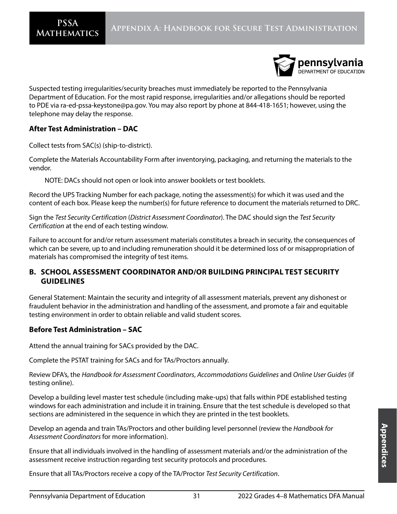

Suspected testing irregularities/security breaches must immediately be reported to the Pennsylvania Department of Education. For the most rapid response, irregularities and/or allegations should be reported to PDE via ra-ed-pssa-keystone@pa.gov. You may also report by phone at 844-418-1651; however, using the telephone may delay the response.

## **After Test Administration – DAC**

**PSSA**

Collect tests from SAC(s) (ship-to-district).

Complete the Materials Accountability Form after inventorying, packaging, and returning the materials to the vendor.

NOTE: DACs should not open or look into answer booklets or test booklets.

Record the UPS Tracking Number for each package, noting the assessment(s) for which it was used and the content of each box. Please keep the number(s) for future reference to document the materials returned to DRC.

Sign the *Test Security Certification* (*District Assessment Coordinator*). The DAC should sign the *Test Security Certification* at the end of each testing window.

Failure to account for and/or return assessment materials constitutes a breach in security, the consequences of which can be severe, up to and including remuneration should it be determined loss of or misappropriation of materials has compromised the integrity of test items.

## **B . SCHOOL ASSESSMENT COORDINATOR AND/OR BUILDING PRINCIPAL TEST SECURITY GUIDELINES**

General Statement: Maintain the security and integrity of all assessment materials, prevent any dishonest or fraudulent behavior in the administration and handling of the assessment, and promote a fair and equitable testing environment in order to obtain reliable and valid student scores.

## **Before Test Administration – SAC**

Attend the annual training for SACs provided by the DAC.

Complete the PSTAT training for SACs and for TAs/Proctors annually.

Review DFA's, the *Handbook for Assessment Coordinators*, *Accommodations Guidelines* and *Online User Guides* (if testing online).

Develop a building level master test schedule (including make-ups) that falls within PDE established testing windows for each administration and include it in training. Ensure that the test schedule is developed so that sections are administered in the sequence in which they are printed in the test booklets.

Develop an agenda and train TAs/Proctors and other building level personnel (review the *Handbook for Assessment Coordinators* for more information).

Ensure that all individuals involved in the handling of assessment materials and/or the administration of the assessment receive instruction regarding test security protocols and procedures.

Ensure that all TAs/Proctors receive a copy of the TA/Proctor *Test Security Certification*.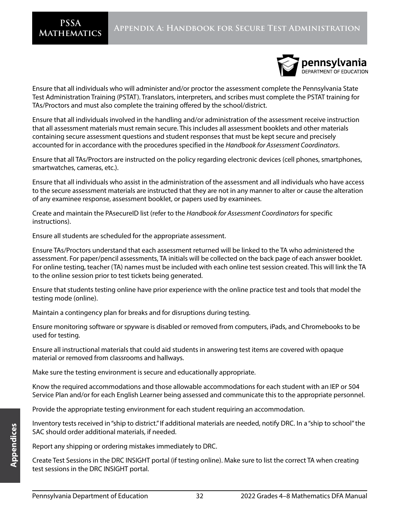

Ensure that all individuals who will administer and/or proctor the assessment complete the Pennsylvania State Test Administration Training (PSTAT). Translators, interpreters, and scribes must complete the PSTAT training for TAs/Proctors and must also complete the training offered by the school/district.

Ensure that all individuals involved in the handling and/or administration of the assessment receive instruction that all assessment materials must remain secure. This includes all assessment booklets and other materials containing secure assessment questions and student responses that must be kept secure and precisely accounted for in accordance with the procedures specified in the *Handbook for Assessment Coordinators*.

Ensure that all TAs/Proctors are instructed on the policy regarding electronic devices (cell phones, smartphones, smartwatches, cameras, etc.).

Ensure that all individuals who assist in the administration of the assessment and all individuals who have access to the secure assessment materials are instructed that they are not in any manner to alter or cause the alteration of any examinee response, assessment booklet, or papers used by examinees.

Create and maintain the PAsecureID list (refer to the *Handbook for Assessment Coordinators* for specific instructions).

Ensure all students are scheduled for the appropriate assessment.

**PSSA**

Ensure TAs/Proctors understand that each assessment returned will be linked to the TA who administered the assessment. For paper/pencil assessments, TA initials will be collected on the back page of each answer booklet. For online testing, teacher (TA) names must be included with each online test session created. This will link the TA to the online session prior to test tickets being generated.

Ensure that students testing online have prior experience with the online practice test and tools that model the testing mode (online).

Maintain a contingency plan for breaks and for disruptions during testing.

Ensure monitoring software or spyware is disabled or removed from computers, iPads, and Chromebooks to be used for testing.

Ensure all instructional materials that could aid students in answering test items are covered with opaque material or removed from classrooms and hallways.

Make sure the testing environment is secure and educationally appropriate.

Know the required accommodations and those allowable accommodations for each student with an IEP or 504 Service Plan and/or for each English Learner being assessed and communicate this to the appropriate personnel.

Provide the appropriate testing environment for each student requiring an accommodation.

Inventory tests received in "ship to district." If additional materials are needed, notify DRC. In a "ship to school" the SAC should order additional materials, if needed.

Report any shipping or ordering mistakes immediately to DRC.

Create Test Sessions in the DRC INSIGHT portal (if testing online). Make sure to list the correct TA when creating test sessions in the DRC INSIGHT portal.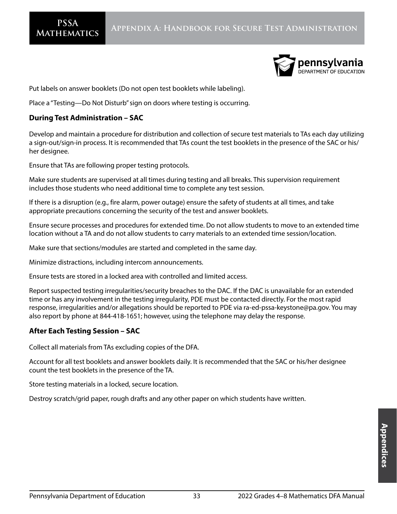

Put labels on answer booklets (Do not open test booklets while labeling).

Place a "Testing—Do Not Disturb" sign on doors where testing is occurring.

#### **During Test Administration – SAC**

**PSSA**

Develop and maintain a procedure for distribution and collection of secure test materials to TAs each day utilizing a sign-out/sign-in process. It is recommended that TAs count the test booklets in the presence of the SAC or his/ her designee.

Ensure that TAs are following proper testing protocols.

Make sure students are supervised at all times during testing and all breaks. This supervision requirement includes those students who need additional time to complete any test session.

If there is a disruption (e.g., fire alarm, power outage) ensure the safety of students at all times, and take appropriate precautions concerning the security of the test and answer booklets.

Ensure secure processes and procedures for extended time. Do not allow students to move to an extended time location without a TA and do not allow students to carry materials to an extended time session/location.

Make sure that sections/modules are started and completed in the same day.

Minimize distractions, including intercom announcements.

Ensure tests are stored in a locked area with controlled and limited access.

Report suspected testing irregularities/security breaches to the DAC. If the DAC is unavailable for an extended time or has any involvement in the testing irregularity, PDE must be contacted directly. For the most rapid response, irregularities and/or allegations should be reported to PDE via ra-ed-pssa-keystone@pa.gov. You may also report by phone at 844-418-1651; however, using the telephone may delay the response.

## **After Each Testing Session – SAC**

Collect all materials from TAs excluding copies of the DFA.

Account for all test booklets and answer booklets daily. It is recommended that the SAC or his/her designee count the test booklets in the presence of the TA.

Store testing materials in a locked, secure location.

Destroy scratch/grid paper, rough drafts and any other paper on which students have written.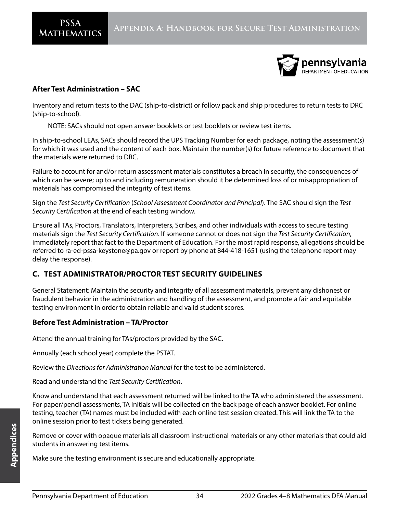

### **After Test Administration – SAC**

**PSSA**

Inventory and return tests to the DAC (ship-to-district) or follow pack and ship procedures to return tests to DRC (ship-to-school).

NOTE: SACs should not open answer booklets or test booklets or review test items.

In ship-to-school LEAs, SACs should record the UPS Tracking Number for each package, noting the assessment(s) for which it was used and the content of each box. Maintain the number(s) for future reference to document that the materials were returned to DRC.

Failure to account for and/or return assessment materials constitutes a breach in security, the consequences of which can be severe; up to and including remuneration should it be determined loss of or misappropriation of materials has compromised the integrity of test items.

Sign the *Test Security Certification* (*School Assessment Coordinator and Principal*). The SAC should sign the *Test Security Certification* at the end of each testing window.

Ensure all TAs, Proctors, Translators, Interpreters, Scribes, and other individuals with access to secure testing materials sign the *Test Security Certification*. If someone cannot or does not sign the *Test Security Certification*, immediately report that fact to the Department of Education. For the most rapid response, allegations should be referred to ra-ed-pssa-keystone@pa.gov or report by phone at 844-418-1651 (using the telephone report may delay the response).

## **C . TEST ADMINISTRATOR/PROCTOR TEST SECURITY GUIDELINES**

General Statement: Maintain the security and integrity of all assessment materials, prevent any dishonest or fraudulent behavior in the administration and handling of the assessment, and promote a fair and equitable testing environment in order to obtain reliable and valid student scores.

## **Before Test Administration – TA/Proctor**

Attend the annual training for TAs/proctors provided by the SAC.

Annually (each school year) complete the PSTAT.

Review the *Directions for Administration Manual* for the test to be administered.

Read and understand the *Test Security Certification*.

Know and understand that each assessment returned will be linked to the TA who administered the assessment. For paper/pencil assessments, TA initials will be collected on the back page of each answer booklet. For online testing, teacher (TA) names must be included with each online test session created. This will link the TA to the online session prior to test tickets being generated.

Remove or cover with opaque materials all classroom instructional materials or any other materials that could aid students in answering test items.

Make sure the testing environment is secure and educationally appropriate.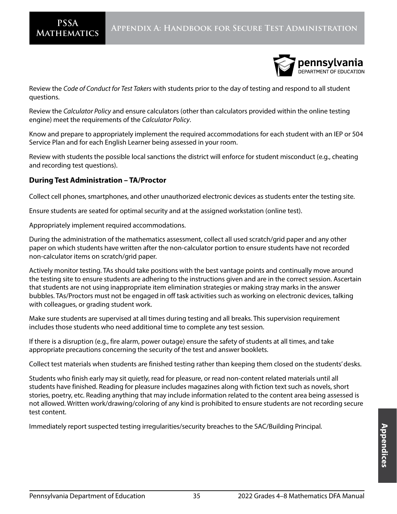

Review the *Code of Conduct for Test Takers* with students prior to the day of testing and respond to all student questions.

Review the *Calculator Policy* and ensure calculators (other than calculators provided within the online testing engine) meet the requirements of the *Calculator Policy*.

Know and prepare to appropriately implement the required accommodations for each student with an IEP or 504 Service Plan and for each English Learner being assessed in your room.

Review with students the possible local sanctions the district will enforce for student misconduct (e.g., cheating and recording test questions).

## **During Test Administration – TA/Proctor**

**PSSA**

Collect cell phones, smartphones, and other unauthorized electronic devices as students enter the testing site.

Ensure students are seated for optimal security and at the assigned workstation (online test).

Appropriately implement required accommodations.

During the administration of the mathematics assessment, collect all used scratch/grid paper and any other paper on which students have written after the non-calculator portion to ensure students have not recorded non-calculator items on scratch/grid paper.

Actively monitor testing. TAs should take positions with the best vantage points and continually move around the testing site to ensure students are adhering to the instructions given and are in the correct session. Ascertain that students are not using inappropriate item elimination strategies or making stray marks in the answer bubbles. TAs/Proctors must not be engaged in off task activities such as working on electronic devices, talking with colleagues, or grading student work.

Make sure students are supervised at all times during testing and all breaks. This supervision requirement includes those students who need additional time to complete any test session.

If there is a disruption (e.g., fire alarm, power outage) ensure the safety of students at all times, and take appropriate precautions concerning the security of the test and answer booklets.

Collect test materials when students are finished testing rather than keeping them closed on the students' desks.

Students who finish early may sit quietly, read for pleasure, or read non-content related materials until all students have finished. Reading for pleasure includes magazines along with fiction text such as novels, short stories, poetry, etc. Reading anything that may include information related to the content area being assessed is not allowed. Written work/drawing/coloring of any kind is prohibited to ensure students are not recording secure test content.

Immediately report suspected testing irregularities/security breaches to the SAC/Building Principal.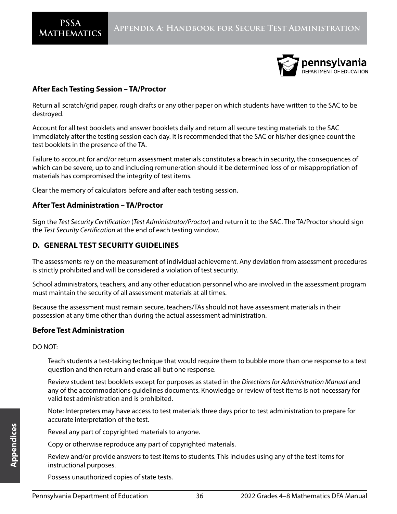

## **After Each Testing Session – TA/Proctor**

**PSSA**

Return all scratch/grid paper, rough drafts or any other paper on which students have written to the SAC to be destroyed.

Account for all test booklets and answer booklets daily and return all secure testing materials to the SAC immediately after the testing session each day. It is recommended that the SAC or his/her designee count the test booklets in the presence of the TA.

Failure to account for and/or return assessment materials constitutes a breach in security, the consequences of which can be severe, up to and including remuneration should it be determined loss of or misappropriation of materials has compromised the integrity of test items.

Clear the memory of calculators before and after each testing session.

## **After Test Administration – TA/Proctor**

Sign the *Test Security Certification* (*Test Administrator/Proctor*) and return it to the SAC. The TA/Proctor should sign the *Test Security Certification* at the end of each testing window.

## **D. GENERAL TEST SECURITY GUIDELINES**

The assessments rely on the measurement of individual achievement. Any deviation from assessment procedures is strictly prohibited and will be considered a violation of test security.

School administrators, teachers, and any other education personnel who are involved in the assessment program must maintain the security of all assessment materials at all times.

Because the assessment must remain secure, teachers/TAs should not have assessment materials in their possession at any time other than during the actual assessment administration.

## **Before Test Administration**

DO NOT:

Teach students a test-taking technique that would require them to bubble more than one response to a test question and then return and erase all but one response.

Review student test booklets except for purposes as stated in the *Directions for Administration Manual* and any of the accommodations guidelines documents. Knowledge or review of test items is not necessary for valid test administration and is prohibited.

Note: Interpreters may have access to test materials three days prior to test administration to prepare for accurate interpretation of the test.

Reveal any part of copyrighted materials to anyone.

Copy or otherwise reproduce any part of copyrighted materials.

Review and/or provide answers to test items to students. This includes using any of the test items for instructional purposes.

Possess unauthorized copies of state tests.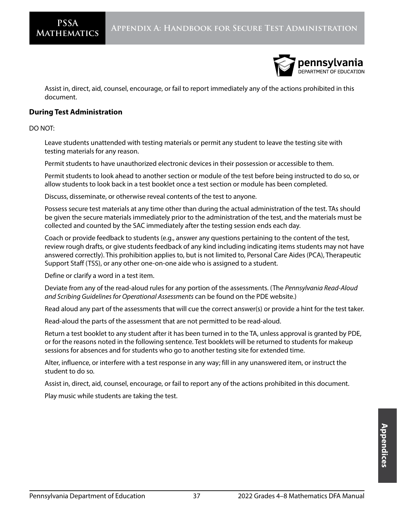

Assist in, direct, aid, counsel, encourage, or fail to report immediately any of the actions prohibited in this document.

#### **During Test Administration**

**PSSA**

DO NOT:

Leave students unattended with testing materials or permit any student to leave the testing site with testing materials for any reason.

Permit students to have unauthorized electronic devices in their possession or accessible to them.

Permit students to look ahead to another section or module of the test before being instructed to do so, or allow students to look back in a test booklet once a test section or module has been completed.

Discuss, disseminate, or otherwise reveal contents of the test to anyone.

Possess secure test materials at any time other than during the actual administration of the test. TAs should be given the secure materials immediately prior to the administration of the test, and the materials must be collected and counted by the SAC immediately after the testing session ends each day.

Coach or provide feedback to students (e.g., answer any questions pertaining to the content of the test, review rough drafts, or give students feedback of any kind including indicating items students may not have answered correctly). This prohibition applies to, but is not limited to, Personal Care Aides (PCA), Therapeutic Support Staff (TSS), or any other one-on-one aide who is assigned to a student.

Define or clarify a word in a test item.

Deviate from any of the read-aloud rules for any portion of the assessments. (The *Pennsylvania Read-Aloud and Scribing Guidelines for Operational Assessments* can be found on the PDE website.)

Read aloud any part of the assessments that will cue the correct answer(s) or provide a hint for the test taker.

Read-aloud the parts of the assessment that are not permitted to be read-aloud.

Return a test booklet to any student after it has been turned in to the TA, unless approval is granted by PDE, or for the reasons noted in the following sentence. Test booklets will be returned to students for makeup sessions for absences and for students who go to another testing site for extended time.

Alter, influence, or interfere with a test response in any way; fill in any unanswered item, or instruct the student to do so.

Assist in, direct, aid, counsel, encourage, or fail to report any of the actions prohibited in this document.

Play music while students are taking the test.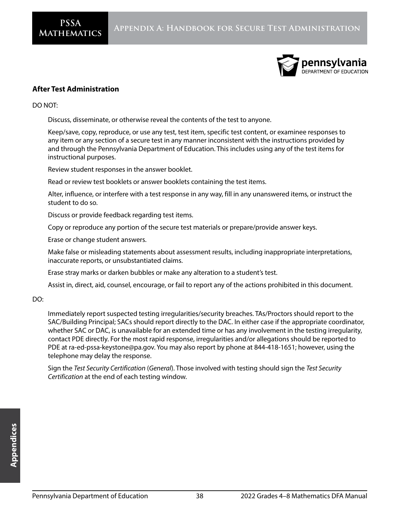

### **After Test Administration**

**PSSA**

DO NOT:

Discuss, disseminate, or otherwise reveal the contents of the test to anyone.

Keep/save, copy, reproduce, or use any test, test item, specific test content, or examinee responses to any item or any section of a secure test in any manner inconsistent with the instructions provided by and through the Pennsylvania Department of Education. This includes using any of the test items for instructional purposes.

Review student responses in the answer booklet.

Read or review test booklets or answer booklets containing the test items.

Alter, influence, or interfere with a test response in any way, fill in any unanswered items, or instruct the student to do so.

Discuss or provide feedback regarding test items.

Copy or reproduce any portion of the secure test materials or prepare/provide answer keys.

Erase or change student answers.

Make false or misleading statements about assessment results, including inappropriate interpretations, inaccurate reports, or unsubstantiated claims.

Erase stray marks or darken bubbles or make any alteration to a student's test.

Assist in, direct, aid, counsel, encourage, or fail to report any of the actions prohibited in this document.

DO:

Immediately report suspected testing irregularities/security breaches. TAs/Proctors should report to the SAC/Building Principal; SACs should report directly to the DAC. In either case if the appropriate coordinator, whether SAC or DAC, is unavailable for an extended time or has any involvement in the testing irregularity, contact PDE directly. For the most rapid response, irregularities and/or allegations should be reported to PDE at ra-ed-pssa-keystone@pa.gov. You may also report by phone at 844-418-1651; however, using the telephone may delay the response.

Sign the *Test Security Certification* (*General*). Those involved with testing should sign the *Test Security Certification* at the end of each testing window.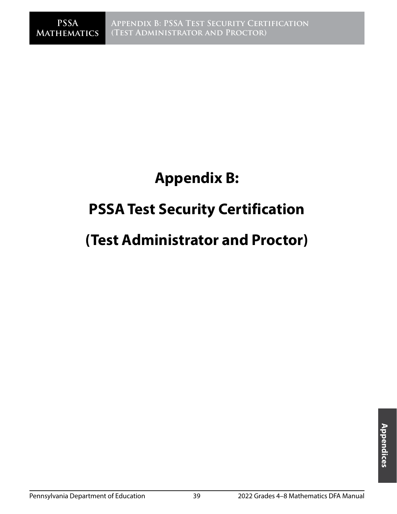# **Appendix B:**

## <span id="page-42-0"></span>**PSSA Test Security Certification**

## **(Test Administrator and Proctor)**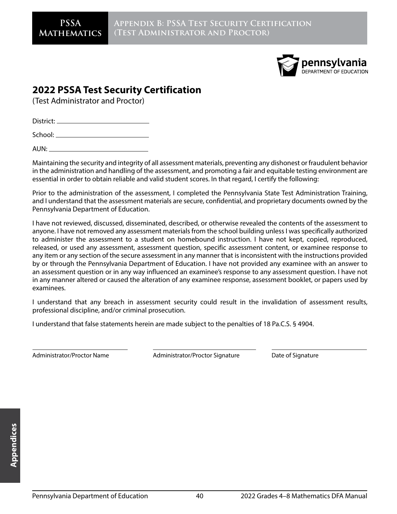

## **2022 PSSA Test Security Certification**

(Test Administrator and Proctor)

**PSSA Mathematics**

District:

School:

AUN:

Maintaining the security and integrity of all assessment materials, preventing any dishonest or fraudulent behavior in the administration and handling of the assessment, and promoting a fair and equitable testing environment are essential in order to obtain reliable and valid student scores. In that regard, I certify the following:

Prior to the administration of the assessment, I completed the Pennsylvania State Test Administration Training, and I understand that the assessment materials are secure, confidential, and proprietary documents owned by the Pennsylvania Department of Education.

I have not reviewed, discussed, disseminated, described, or otherwise revealed the contents of the assessment to anyone. I have not removed any assessment materials from the school building unless I was specifically authorized to administer the assessment to a student on homebound instruction. I have not kept, copied, reproduced, released, or used any assessment, assessment question, specific assessment content, or examinee response to any item or any section of the secure assessment in any manner that is inconsistent with the instructions provided by or through the Pennsylvania Department of Education. I have not provided any examinee with an answer to an assessment question or in any way influenced an examinee's response to any assessment question. I have not in any manner altered or caused the alteration of any examinee response, assessment booklet, or papers used by examinees.

I understand that any breach in assessment security could result in the invalidation of assessment results, professional discipline, and/or criminal prosecution.

I understand that false statements herein are made subject to the penalties of 18 Pa.C.S. § 4904.

Administrator/Proctor Name **Administrator/Proctor Signature** Date of Signature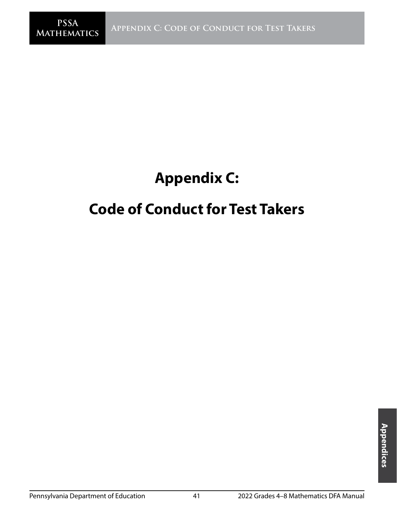

## **Code of Conduct for Test Takers**

<span id="page-44-0"></span>**PSSA**<br>**MATHEMATICS**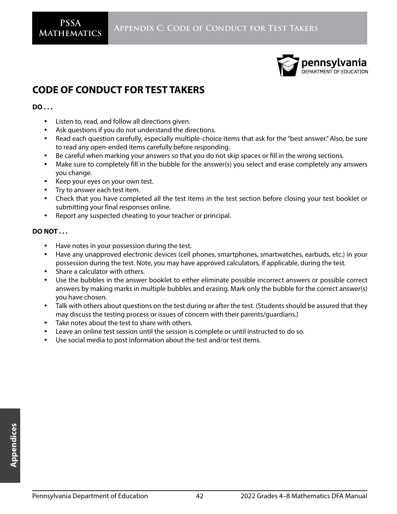

## **CODE OF CONDUCT FOR TEST TAKERS**

**DO . . .** 

**PSSA**

- Listen to, read, and follow all directions given.
- Ask questions if you do not understand the directions.
- Read each question carefully, especially multiple-choice items that ask for the "best answer." Also, be sure to read any open-ended items carefully before responding.
- Be careful when marking your answers so that you do not skip spaces or fill in the wrong sections.
- Make sure to completely fill in the bubble for the answer(s) you select and erase completely any answers you change.
- Keep your eyes on your own test.
- Try to answer each test item.
- Check that you have completed all the test items in the test section before closing your test booklet or submitting your final responses online.
- Report any suspected cheating to your teacher or principal.

#### **DO NOT . . .**

- Have notes in your possession during the test.
- Have any unapproved electronic devices (cell phones, smartphones, smartwatches, earbuds, etc.) in your possession during the test. Note, you may have approved calculators, if applicable, during the test.
- Share a calculator with others.
- Use the bubbles in the answer booklet to either eliminate possible incorrect answers or possible correct answers by making marks in multiple bubbles and erasing. Mark only the bubble for the correct answer(s) you have chosen.
- Talk with others about questions on the test during or after the test. (Students should be assured that they may discuss the testing process or issues of concern with their parents/guardians.)
- Take notes about the test to share with others.
- Leave an online test session until the session is complete or until instructed to do so.
- Use social media to post information about the test and/or test items.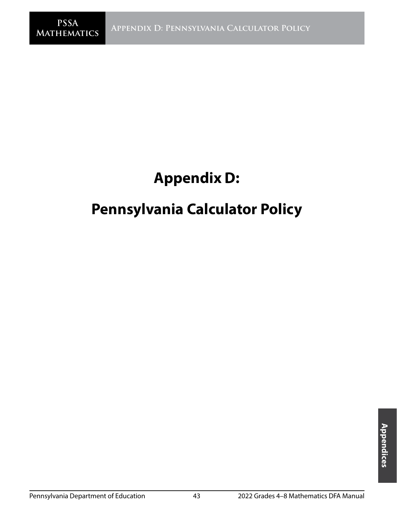## **Appendix D:**

# **Pennsylvania Calculator Policy**

<span id="page-46-0"></span>**PSSA**<br>**MATHEMATICS**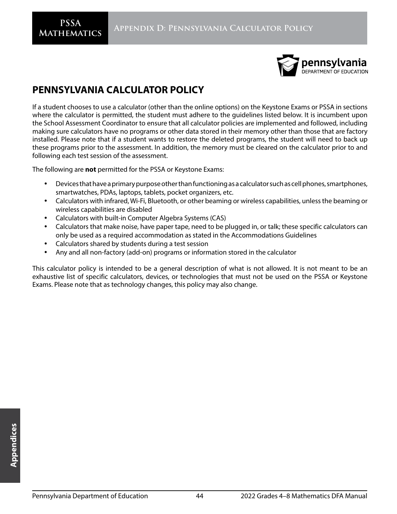

## **PENNSYLVANIA CALCULATOR POLICY**

**PSSA**

If a student chooses to use a calculator (other than the online options) on the Keystone Exams or PSSA in sections where the calculator is permitted, the student must adhere to the guidelines listed below. It is incumbent upon the School Assessment Coordinator to ensure that all calculator policies are implemented and followed, including making sure calculators have no programs or other data stored in their memory other than those that are factory installed. Please note that if a student wants to restore the deleted programs, the student will need to back up these programs prior to the assessment. In addition, the memory must be cleared on the calculator prior to and following each test session of the assessment.

The following are **not** permitted for the PSSA or Keystone Exams:

- Devices that have a primary purpose other than functioning as a calculator such as cell phones, smartphones, smartwatches, PDAs, laptops, tablets, pocket organizers, etc.
- Calculators with infrared, Wi-Fi, Bluetooth, or other beaming or wireless capabilities, unless the beaming or wireless capabilities are disabled
- Calculators with built-in Computer Algebra Systems (CAS)
- Calculators that make noise, have paper tape, need to be plugged in, or talk; these specific calculators can only be used as a required accommodation as stated in the Accommodations Guidelines
- Calculators shared by students during a test session
- Any and all non-factory (add-on) programs or information stored in the calculator

This calculator policy is intended to be a general description of what is not allowed. It is not meant to be an exhaustive list of specific calculators, devices, or technologies that must not be used on the PSSA or Keystone Exams. Please note that as technology changes, this policy may also change.